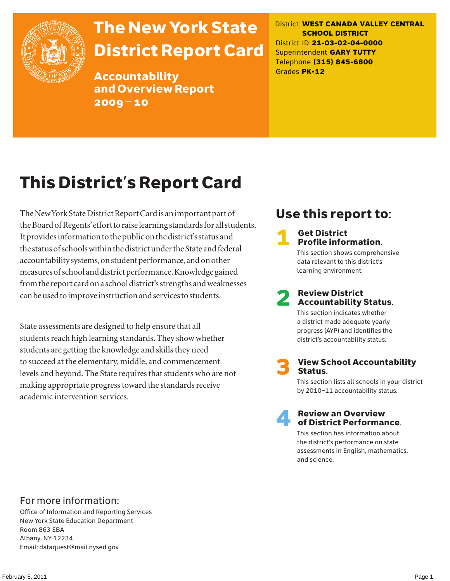

# The New York State District Report Card

Accountability and Overview Report 2009–10

District **WEST CANADA VALLEY CENTRAL SCHOOL DISTRICT** District ID **21-03-02-04-0000** Superintendent **GARY TUTTY** Telephone **(315) 845-6800** Grades **PK-12**

# This District's Report Card

The New York State District Report Card is an important part of the Board of Regents' effort to raise learning standards for all students. It provides information to the public on the district's status and the status of schools within the district under the State and federal accountability systems, on student performance, and on other measures of school and district performance. Knowledge gained from the report card on a school district's strengths and weaknesses can be used to improve instruction and services to students.

State assessments are designed to help ensure that all students reach high learning standards. They show whether students are getting the knowledge and skills they need to succeed at the elementary, middle, and commencement levels and beyond. The State requires that students who are not making appropriate progress toward the standards receive academic intervention services.

# Use this report to:

### **Get District** Profile information.

This section shows comprehensive data relevant to this district's learning environment.

# **2** Review District<br>Accountability Status.

This section indicates whether a district made adequate yearly progress (AYP) and identifies the district's accountability status.

**View School Accountability** Status.

This section lists all schools in your district by 2010–11 accountability status.



### **Review an Overview** of District Performance.

This section has information about the district's performance on state assessments in English, mathematics, and science.

### For more information:

Office of Information and Reporting Services New York State Education Department Room 863 EBA Albany, NY 12234 Email: dataquest@mail.nysed.gov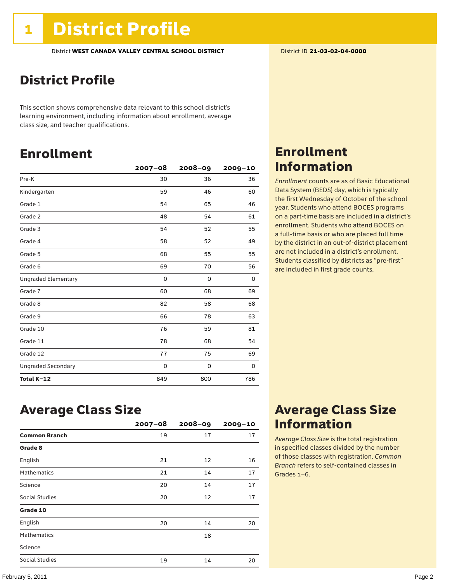# District Profile

This section shows comprehensive data relevant to this school district's learning environment, including information about enrollment, average class size, and teacher qualifications.

# Enrollment

|                            | $2007 - 08$ | $2008 - 09$ | 2009-10 |
|----------------------------|-------------|-------------|---------|
| Pre-K                      | 30          | 36          | 36      |
| Kindergarten               | 59          | 46          | 60      |
| Grade 1                    | 54          | 65          | 46      |
| Grade 2                    | 48          | 54          | 61      |
| Grade 3                    | 54          | 52          | 55      |
| Grade 4                    | 58          | 52          | 49      |
| Grade 5                    | 68          | 55          | 55      |
| Grade 6                    | 69          | 70          | 56      |
| <b>Ungraded Elementary</b> | 0           | 0           | 0       |
| Grade 7                    | 60          | 68          | 69      |
| Grade 8                    | 82          | 58          | 68      |
| Grade 9                    | 66          | 78          | 63      |
| Grade 10                   | 76          | 59          | 81      |
| Grade 11                   | 78          | 68          | 54      |
| Grade 12                   | 77          | 75          | 69      |
| <b>Ungraded Secondary</b>  | $\mathbf 0$ | 0           | 0       |
| Total K-12                 | 849         | 800         | 786     |

# Enrollment Information

*Enrollment* counts are as of Basic Educational Data System (BEDS) day, which is typically the first Wednesday of October of the school year. Students who attend BOCES programs on a part-time basis are included in a district's enrollment. Students who attend BOCES on a full-time basis or who are placed full time by the district in an out-of-district placement are not included in a district's enrollment. Students classified by districts as "pre-first" are included in first grade counts.

### Average Class Size

|                      | $2007 - 08$ | $2008 - 09$ | $2009 - 10$ |
|----------------------|-------------|-------------|-------------|
| <b>Common Branch</b> | 19          | 17          | 17          |
| Grade 8              |             |             |             |
| English              | 21          | 12          | 16          |
| <b>Mathematics</b>   | 21          | 14          | 17          |
| Science              | 20          | 14          | 17          |
| Social Studies       | 20          | 12          | 17          |
| Grade 10             |             |             |             |
| English              | 20          | 14          | 20          |
| <b>Mathematics</b>   |             | 18          |             |
| Science              |             |             |             |
| Social Studies       | 19          | 14          | 20          |

# Average Class Size Information

*Average Class Size* is the total registration in specified classes divided by the number of those classes with registration. *Common Branch* refers to self-contained classes in Grades 1–6.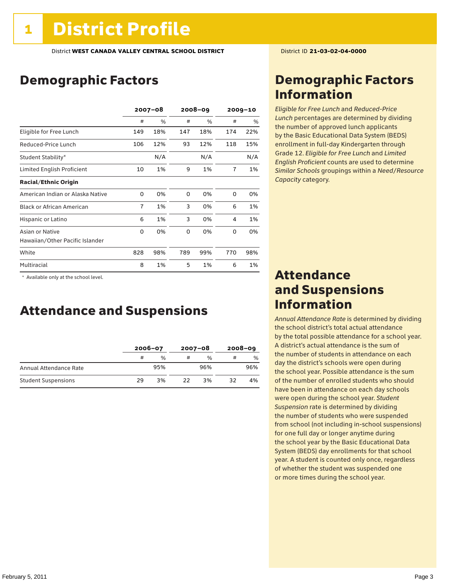# Demographic Factors

|                                  | $2007 - 08$ |     | $2008 - 09$ |     | $2009 - 10$ |     |
|----------------------------------|-------------|-----|-------------|-----|-------------|-----|
|                                  | #           | %   | #           | %   | #           | %   |
| Eligible for Free Lunch          | 149         | 18% | 147         | 18% | 174         | 22% |
| Reduced-Price Lunch              | 106         | 12% | 93          | 12% | 118         | 15% |
| Student Stability*               |             | N/A |             | N/A |             | N/A |
| Limited English Proficient       | 10          | 1%  | 9           | 1%  | 7           | 1%  |
| <b>Racial/Ethnic Origin</b>      |             |     |             |     |             |     |
| American Indian or Alaska Native | 0           | 0%  | $\Omega$    | 0%  | $\Omega$    | 0%  |
| <b>Black or African American</b> | 7           | 1%  | 3           | 0%  | 6           | 1%  |
| Hispanic or Latino               | 6           | 1%  | 3           | 0%  | 4           | 1%  |
| Asian or Native                  | 0           | 0%  | 0           | 0%  | 0           | 0%  |
| Hawaiian/Other Pacific Islander  |             |     |             |     |             |     |
| White                            | 828         | 98% | 789         | 99% | 770         | 98% |
| Multiracial                      | 8           | 1%  | 5           | 1%  | 6           | 1%  |

 \* Available only at the school level.

### Attendance and Suspensions

|                            |    | $2006 - 07$   |    | $2007 - 08$   | $2008 - 09$ |               |
|----------------------------|----|---------------|----|---------------|-------------|---------------|
|                            | #  | $\frac{0}{0}$ | #  | $\frac{0}{0}$ |             | $\frac{0}{0}$ |
| Annual Attendance Rate     |    | 95%           |    | 96%           |             | 96%           |
| <b>Student Suspensions</b> | 29 | 3%            | 22 | 3%            | 32          | 4%            |

# Demographic Factors Information

*Eligible for Free Lunch* and *Reduced*-*Price Lunch* percentages are determined by dividing the number of approved lunch applicants by the Basic Educational Data System (BEDS) enrollment in full-day Kindergarten through Grade 12. *Eligible for Free Lunch* and *Limited English Proficient* counts are used to determine *Similar Schools* groupings within a *Need*/*Resource Capacity* category.

### Attendance and Suspensions Information

*Annual Attendance Rate* is determined by dividing the school district's total actual attendance by the total possible attendance for a school year. A district's actual attendance is the sum of the number of students in attendance on each day the district's schools were open during the school year. Possible attendance is the sum of the number of enrolled students who should have been in attendance on each day schools were open during the school year. *Student Suspension* rate is determined by dividing the number of students who were suspended from school (not including in-school suspensions) for one full day or longer anytime during the school year by the Basic Educational Data System (BEDS) day enrollments for that school year. A student is counted only once, regardless of whether the student was suspended one or more times during the school year.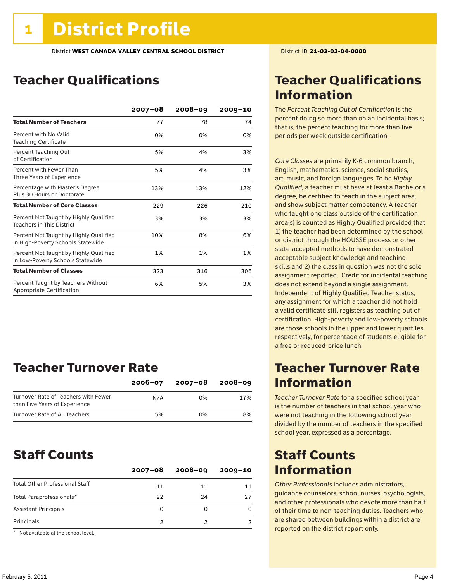# Teacher Qualifications

|                                                                             | $2007 - 08$ | $2008 - 09$ | $2009 - 10$ |
|-----------------------------------------------------------------------------|-------------|-------------|-------------|
| <b>Total Number of Teachers</b>                                             | 77          | 78          | 74          |
| Percent with No Valid<br><b>Teaching Certificate</b>                        | 0%          | 0%          | 0%          |
| Percent Teaching Out<br>of Certification                                    | 5%          | 4%          | 3%          |
| Percent with Fewer Than<br>Three Years of Experience                        | 5%          | 4%          | 3%          |
| Percentage with Master's Degree<br>Plus 30 Hours or Doctorate               | 13%         | 13%         | 12%         |
| <b>Total Number of Core Classes</b>                                         | 229         | 226         | 210         |
| Percent Not Taught by Highly Qualified<br><b>Teachers in This District</b>  | 3%          | 3%          | 3%          |
| Percent Not Taught by Highly Qualified<br>in High-Poverty Schools Statewide | 10%         | 8%          | 6%          |
| Percent Not Taught by Highly Qualified<br>in Low-Poverty Schools Statewide  | 1%          | 1%          | 1%          |
| <b>Total Number of Classes</b>                                              | 323         | 316         | 306         |
| Percent Taught by Teachers Without<br>Appropriate Certification             | 6%          | 5%          | 3%          |

### Teacher Turnover Rate

|                                                                       | $2006 - 07$ | 2007-08 | $2008 - 09$ |
|-----------------------------------------------------------------------|-------------|---------|-------------|
| Turnover Rate of Teachers with Fewer<br>than Five Years of Experience | N/A         | በ%      | 17%         |
| Turnover Rate of All Teachers                                         | 5%          | በ%      | 8%          |

### Staff Counts

|                                       | $2007 - 08$ | $2008 - 09$ | $2009 - 10$ |
|---------------------------------------|-------------|-------------|-------------|
| <b>Total Other Professional Staff</b> | 11          | 11          |             |
| Total Paraprofessionals*              | 22          | 24          |             |
| <b>Assistant Principals</b>           | O           |             |             |
| Principals                            |             |             |             |

\* Not available at the school level.

# Teacher Qualifications Information

The *Percent Teaching Out of Certification* is the percent doing so more than on an incidental basis; that is, the percent teaching for more than five periods per week outside certification.

*Core Classes* are primarily K-6 common branch, English, mathematics, science, social studies, art, music, and foreign languages. To be *Highly Qualified*, a teacher must have at least a Bachelor's degree, be certified to teach in the subject area, and show subject matter competency. A teacher who taught one class outside of the certification area(s) is counted as Highly Qualified provided that 1) the teacher had been determined by the school or district through the HOUSSE process or other state-accepted methods to have demonstrated acceptable subject knowledge and teaching skills and 2) the class in question was not the sole assignment reported. Credit for incidental teaching does not extend beyond a single assignment. Independent of Highly Qualified Teacher status, any assignment for which a teacher did not hold a valid certificate still registers as teaching out of certification. High-poverty and low-poverty schools are those schools in the upper and lower quartiles, respectively, for percentage of students eligible for a free or reduced-price lunch.

### Teacher Turnover Rate Information

*Teacher Turnover Rate* for a specified school year is the number of teachers in that school year who were not teaching in the following school year divided by the number of teachers in the specified school year, expressed as a percentage.

### Staff Counts Information

*Other Professionals* includes administrators, guidance counselors, school nurses, psychologists, and other professionals who devote more than half of their time to non-teaching duties. Teachers who are shared between buildings within a district are reported on the district report only.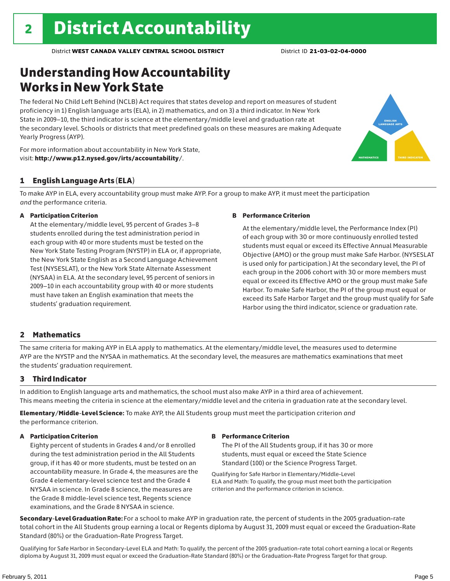# Understanding How Accountability Works in New York State

The federal No Child Left Behind (NCLB) Act requires that states develop and report on measures of student proficiency in 1) English language arts (ELA), in 2) mathematics, and on 3) a third indicator. In New York State in 2009–10, the third indicator is science at the elementary/middle level and graduation rate at the secondary level. Schools or districts that meet predefined goals on these measures are making Adequate Yearly Progress (AYP).



For more information about accountability in New York State, visit: http://www.p12.nysed.gov/irts/accountability/.

### 1 English Language Arts (ELA)

To make AYP in ELA, every accountability group must make AYP. For a group to make AYP, it must meet the participation *and* the performance criteria.

### A Participation Criterion

At the elementary/middle level, 95 percent of Grades 3–8 students enrolled during the test administration period in each group with 40 or more students must be tested on the New York State Testing Program (NYSTP) in ELA or, if appropriate, the New York State English as a Second Language Achievement Test (NYSESLAT), or the New York State Alternate Assessment (NYSAA) in ELA. At the secondary level, 95 percent of seniors in 2009–10 in each accountability group with 40 or more students must have taken an English examination that meets the students' graduation requirement.

### B Performance Criterion

At the elementary/middle level, the Performance Index (PI) of each group with 30 or more continuously enrolled tested students must equal or exceed its Effective Annual Measurable Objective (AMO) or the group must make Safe Harbor. (NYSESLAT is used only for participation.) At the secondary level, the PI of each group in the 2006 cohort with 30 or more members must equal or exceed its Effective AMO or the group must make Safe Harbor. To make Safe Harbor, the PI of the group must equal or exceed its Safe Harbor Target and the group must qualify for Safe Harbor using the third indicator, science or graduation rate.

### 2 Mathematics

The same criteria for making AYP in ELA apply to mathematics. At the elementary/middle level, the measures used to determine AYP are the NYSTP and the NYSAA in mathematics. At the secondary level, the measures are mathematics examinations that meet the students' graduation requirement.

### 3 Third Indicator

In addition to English language arts and mathematics, the school must also make AYP in a third area of achievement. This means meeting the criteria in science at the elementary/middle level and the criteria in graduation rate at the secondary level.

Elementary/Middle-Level Science: To make AYP, the All Students group must meet the participation criterion *and* the performance criterion.

### A Participation Criterion

Eighty percent of students in Grades 4 and/or 8 enrolled during the test administration period in the All Students group, if it has 40 or more students, must be tested on an accountability measure. In Grade 4, the measures are the Grade 4 elementary-level science test and the Grade 4 NYSAA in science. In Grade 8 science, the measures are the Grade 8 middle-level science test, Regents science examinations, and the Grade 8 NYSAA in science.

### B Performance Criterion

The PI of the All Students group, if it has 30 or more students, must equal or exceed the State Science Standard (100) or the Science Progress Target.

Qualifying for Safe Harbor in Elementary/Middle-Level ELA and Math: To qualify, the group must meet both the participation criterion and the performance criterion in science.

Secondary-Level Graduation Rate: For a school to make AYP in graduation rate, the percent of students in the 2005 graduation-rate total cohort in the All Students group earning a local or Regents diploma by August 31, 2009 must equal or exceed the Graduation-Rate Standard (80%) or the Graduation-Rate Progress Target.

Qualifying for Safe Harbor in Secondary-Level ELA and Math: To qualify, the percent of the 2005 graduation-rate total cohort earning a local or Regents diploma by August 31, 2009 must equal or exceed the Graduation-Rate Standard (80%) or the Graduation-Rate Progress Target for that group.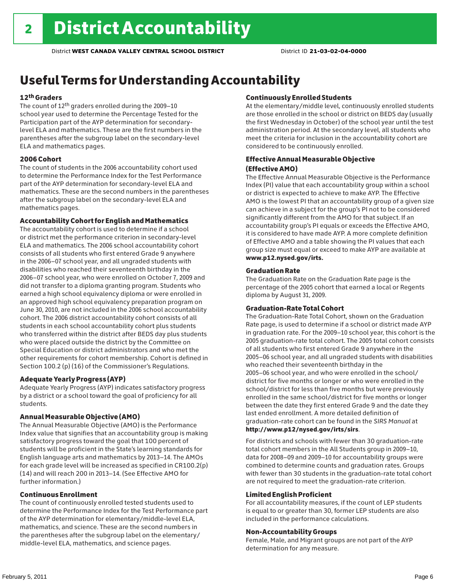# Useful Terms for Understanding Accountability

### 12th Graders

The count of 12th graders enrolled during the 2009–10 school year used to determine the Percentage Tested for the Participation part of the AYP determination for secondarylevel ELA and mathematics. These are the first numbers in the parentheses after the subgroup label on the secondary-level ELA and mathematics pages.

### 2006 Cohort

The count of students in the 2006 accountability cohort used to determine the Performance Index for the Test Performance part of the AYP determination for secondary-level ELA and mathematics. These are the second numbers in the parentheses after the subgroup label on the secondary-level ELA and mathematics pages.

### Accountability Cohort for English and Mathematics

The accountability cohort is used to determine if a school or district met the performance criterion in secondary-level ELA and mathematics. The 2006 school accountability cohort consists of all students who first entered Grade 9 anywhere in the 2006–07 school year, and all ungraded students with disabilities who reached their seventeenth birthday in the 2006–07 school year, who were enrolled on October 7, 2009 and did not transfer to a diploma granting program. Students who earned a high school equivalency diploma or were enrolled in an approved high school equivalency preparation program on June 30, 2010, are not included in the 2006 school accountability cohort. The 2006 district accountability cohort consists of all students in each school accountability cohort plus students who transferred within the district after BEDS day plus students who were placed outside the district by the Committee on Special Education or district administrators and who met the other requirements for cohort membership. Cohort is defined in Section 100.2 (p) (16) of the Commissioner's Regulations.

### Adequate Yearly Progress (AYP)

Adequate Yearly Progress (AYP) indicates satisfactory progress by a district or a school toward the goal of proficiency for all students.

### Annual Measurable Objective (AMO)

The Annual Measurable Objective (AMO) is the Performance Index value that signifies that an accountability group is making satisfactory progress toward the goal that 100 percent of students will be proficient in the State's learning standards for English language arts and mathematics by 2013–14. The AMOs for each grade level will be increased as specified in CR100.2(p) (14) and will reach 200 in 2013–14. (See Effective AMO for further information.)

### Continuous Enrollment

The count of continuously enrolled tested students used to determine the Performance Index for the Test Performance part of the AYP determination for elementary/middle-level ELA, mathematics, and science. These are the second numbers in the parentheses after the subgroup label on the elementary/ middle-level ELA, mathematics, and science pages.

### Continuously Enrolled Students

At the elementary/middle level, continuously enrolled students are those enrolled in the school or district on BEDS day (usually the first Wednesday in October) of the school year until the test administration period. At the secondary level, all students who meet the criteria for inclusion in the accountability cohort are considered to be continuously enrolled.

### Effective Annual Measurable Objective (Effective AMO)

The Effective Annual Measurable Objective is the Performance Index (PI) value that each accountability group within a school or district is expected to achieve to make AYP. The Effective AMO is the lowest PI that an accountability group of a given size can achieve in a subject for the group's PI not to be considered significantly different from the AMO for that subject. If an accountability group's PI equals or exceeds the Effective AMO, it is considered to have made AYP. A more complete definition of Effective AMO and a table showing the PI values that each group size must equal or exceed to make AYP are available at www.p12.nysed.gov/irts.

### Graduation Rate

The Graduation Rate on the Graduation Rate page is the percentage of the 2005 cohort that earned a local or Regents diploma by August 31, 2009.

### Graduation-Rate Total Cohort

The Graduation-Rate Total Cohort, shown on the Graduation Rate page, is used to determine if a school or district made AYP in graduation rate. For the 2009–10 school year, this cohort is the 2005 graduation-rate total cohort. The 2005 total cohort consists of all students who first entered Grade 9 anywhere in the 2005–06 school year, and all ungraded students with disabilities who reached their seventeenth birthday in the 2005–06 school year, and who were enrolled in the school/ district for five months or longer or who were enrolled in the school/district for less than five months but were previously enrolled in the same school/district for five months or longer between the date they first entered Grade 9 and the date they last ended enrollment. A more detailed definition of graduation-rate cohort can be found in the *SIRS Manual* at http://www.p12/nysed.gov/irts/sirs.

For districts and schools with fewer than 30 graduation-rate total cohort members in the All Students group in 2009–10, data for 2008–09 and 2009–10 for accountability groups were combined to determine counts and graduation rates. Groups with fewer than 30 students in the graduation-rate total cohort are not required to meet the graduation-rate criterion.

### Limited English Proficient

For all accountability measures, if the count of LEP students is equal to or greater than 30, former LEP students are also included in the performance calculations.

### Non-Accountability Groups

Female, Male, and Migrant groups are not part of the AYP determination for any measure.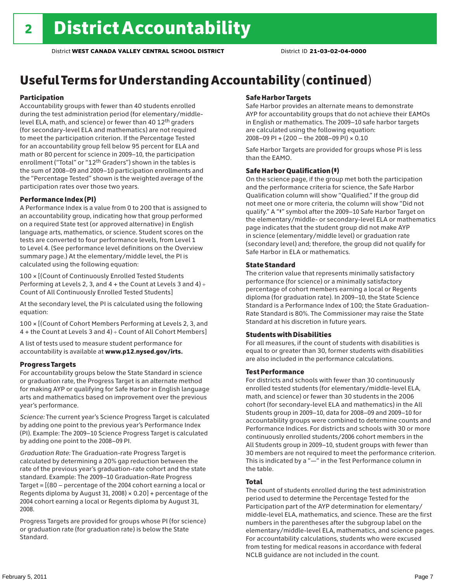# Useful Terms for Understanding Accountability (continued)

### Participation

Accountability groups with fewer than 40 students enrolled during the test administration period (for elementary/middlelevel ELA, math, and science) or fewer than 40 12th graders (for secondary-level ELA and mathematics) are not required to meet the participation criterion. If the Percentage Tested for an accountability group fell below 95 percent for ELA and math or 80 percent for science in 2009–10, the participation enrollment ("Total" or "12th Graders") shown in the tables is the sum of 2008–09 and 2009–10 participation enrollments and the "Percentage Tested" shown is the weighted average of the participation rates over those two years.

### Performance Index (PI)

A Performance Index is a value from 0 to 200 that is assigned to an accountability group, indicating how that group performed on a required State test (or approved alternative) in English language arts, mathematics, or science. Student scores on the tests are converted to four performance levels, from Level 1 to Level 4. (See performance level definitions on the Overview summary page.) At the elementary/middle level, the PI is calculated using the following equation:

100 × [(Count of Continuously Enrolled Tested Students Performing at Levels 2, 3, and 4 + the Count at Levels 3 and 4) Count of All Continuously Enrolled Tested Students]

At the secondary level, the PI is calculated using the following equation:

100 × [(Count of Cohort Members Performing at Levels 2, 3, and 4 + the Count at Levels 3 and 4) Count of All Cohort Members]

A list of tests used to measure student performance for accountability is available at www.p12.nysed.gov/irts.

### Progress Targets

For accountability groups below the State Standard in science or graduation rate, the Progress Target is an alternate method for making AYP or qualifying for Safe Harbor in English language arts and mathematics based on improvement over the previous year's performance.

*Science:* The current year's Science Progress Target is calculated by adding one point to the previous year's Performance Index (PI). Example: The 2009–10 Science Progress Target is calculated by adding one point to the 2008–09 PI.

*Graduation Rate:* The Graduation-rate Progress Target is calculated by determining a 20% gap reduction between the rate of the previous year's graduation-rate cohort and the state standard. Example: The 2009–10 Graduation-Rate Progress Target = [(80 – percentage of the 2004 cohort earning a local or Regents diploma by August 31, 2008)  $\times$  0.20] + percentage of the 2004 cohort earning a local or Regents diploma by August 31, 2008.

Progress Targets are provided for groups whose PI (for science) or graduation rate (for graduation rate) is below the State Standard.

### Safe Harbor Targets

Safe Harbor provides an alternate means to demonstrate AYP for accountability groups that do not achieve their EAMOs in English or mathematics. The 2009–10 safe harbor targets are calculated using the following equation: 2008–09 PI + (200 – the 2008–09 PI) × 0.10

Safe Harbor Targets are provided for groups whose PI is less than the EAMO.

### Safe Harbor Qualification (‡)

On the science page, if the group met both the participation and the performance criteria for science, the Safe Harbor Qualification column will show "Qualified." If the group did not meet one or more criteria, the column will show "Did not qualify." A "‡" symbol after the 2009–10 Safe Harbor Target on the elementary/middle- or secondary-level ELA or mathematics page indicates that the student group did not make AYP in science (elementary/middle level) or graduation rate (secondary level) and; therefore, the group did not qualify for Safe Harbor in ELA or mathematics.

### State Standard

The criterion value that represents minimally satisfactory performance (for science) or a minimally satisfactory percentage of cohort members earning a local or Regents diploma (for graduation rate). In 2009–10, the State Science Standard is a Performance Index of 100; the State Graduation-Rate Standard is 80%. The Commissioner may raise the State Standard at his discretion in future years.

### Students with Disabilities

For all measures, if the count of students with disabilities is equal to or greater than 30, former students with disabilities are also included in the performance calculations.

### Test Performance

For districts and schools with fewer than 30 continuously enrolled tested students (for elementary/middle-level ELA, math, and science) or fewer than 30 students in the 2006 cohort (for secondary-level ELA and mathematics) in the All Students group in 2009–10, data for 2008–09 and 2009–10 for accountability groups were combined to determine counts and Performance Indices. For districts and schools with 30 or more continuously enrolled students/2006 cohort members in the All Students group in 2009–10, student groups with fewer than 30 members are not required to meet the performance criterion. This is indicated by a "—" in the Test Performance column in the table.

### Total

The count of students enrolled during the test administration period used to determine the Percentage Tested for the Participation part of the AYP determination for elementary/ middle-level ELA, mathematics, and science. These are the first numbers in the parentheses after the subgroup label on the elementary/middle-level ELA, mathematics, and science pages. For accountability calculations, students who were excused from testing for medical reasons in accordance with federal NCLB guidance are not included in the count.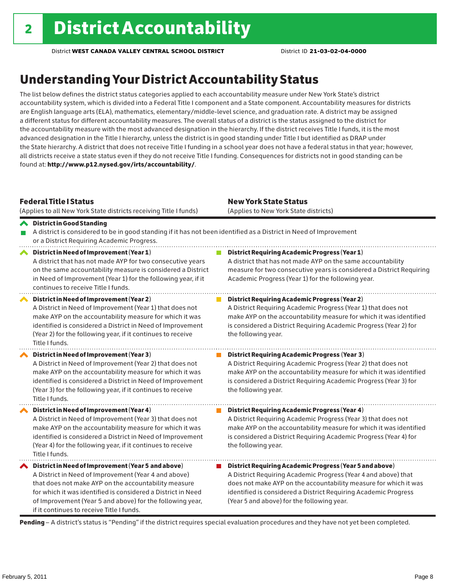# Understanding Your District Accountability Status

The list below defines the district status categories applied to each accountability measure under New York State's district accountability system, which is divided into a Federal Title I component and a State component. Accountability measures for districts are English language arts (ELA), mathematics, elementary/middle-level science, and graduation rate. A district may be assigned a different status for different accountability measures. The overall status of a district is the status assigned to the district for the accountability measure with the most advanced designation in the hierarchy. If the district receives Title I funds, it is the most advanced designation in the Title I hierarchy, unless the district is in good standing under Title I but identified as DRAP under the State hierarchy. A district that does not receive Title I funding in a school year does not have a federal status in that year; however, all districts receive a state status even if they do not receive Title I funding. Consequences for districts not in good standing can be found at: http://www.p12.nysed.gov/irts/accountability/.

| <b>Federal Title   Status</b><br>(Applies to all New York State districts receiving Title I funds)                                                                                                                                                                                                                                             | <b>New York State Status</b><br>(Applies to New York State districts)                                                                                                                                                                                                                                          |
|------------------------------------------------------------------------------------------------------------------------------------------------------------------------------------------------------------------------------------------------------------------------------------------------------------------------------------------------|----------------------------------------------------------------------------------------------------------------------------------------------------------------------------------------------------------------------------------------------------------------------------------------------------------------|
| <b>◆</b> District in Good Standing<br>A district is considered to be in good standing if it has not been identified as a District in Need of Improvement<br>or a District Requiring Academic Progress.                                                                                                                                         |                                                                                                                                                                                                                                                                                                                |
| District in Need of Improvement (Year 1)<br>∧<br>A district that has not made AYP for two consecutive years<br>on the same accountability measure is considered a District<br>in Need of Improvement (Year 1) for the following year, if it<br>continues to receive Title I funds.                                                             | <b>District Requiring Academic Progress (Year 1)</b><br>A district that has not made AYP on the same accountability<br>measure for two consecutive years is considered a District Requiring<br>Academic Progress (Year 1) for the following year.                                                              |
| District in Need of Improvement (Year 2)<br>A District in Need of Improvement (Year 1) that does not<br>make AYP on the accountability measure for which it was<br>identified is considered a District in Need of Improvement<br>(Year 2) for the following year, if it continues to receive<br>Title I funds.                                 | <b>District Requiring Academic Progress (Year 2)</b><br>A District Requiring Academic Progress (Year 1) that does not<br>make AYP on the accountability measure for which it was identified<br>is considered a District Requiring Academic Progress (Year 2) for<br>the following year.                        |
| District in Need of Improvement (Year 3)<br>A District in Need of Improvement (Year 2) that does not<br>make AYP on the accountability measure for which it was<br>identified is considered a District in Need of Improvement<br>(Year 3) for the following year, if it continues to receive<br>Title I funds.                                 | <b>District Requiring Academic Progress (Year 3)</b><br>A District Requiring Academic Progress (Year 2) that does not<br>make AYP on the accountability measure for which it was identified<br>is considered a District Requiring Academic Progress (Year 3) for<br>the following year.                        |
| District in Need of Improvement (Year 4)<br>A District in Need of Improvement (Year 3) that does not<br>make AYP on the accountability measure for which it was<br>identified is considered a District in Need of Improvement<br>(Year 4) for the following year, if it continues to receive<br>Title I funds.                                 | <b>District Requiring Academic Progress (Year 4)</b><br>A District Requiring Academic Progress (Year 3) that does not<br>make AYP on the accountability measure for which it was identified<br>is considered a District Requiring Academic Progress (Year 4) for<br>the following year.                        |
| ◆ District in Need of Improvement (Year 5 and above)<br>A District in Need of Improvement (Year 4 and above)<br>that does not make AYP on the accountability measure<br>for which it was identified is considered a District in Need<br>of Improvement (Year 5 and above) for the following year,<br>if it continues to receive Title I funds. | District Requiring Academic Progress (Year 5 and above)<br>A District Requiring Academic Progress (Year 4 and above) that<br>does not make AYP on the accountability measure for which it was<br>identified is considered a District Requiring Academic Progress<br>(Year 5 and above) for the following year. |

Pending - A district's status is "Pending" if the district requires special evaluation procedures and they have not yet been completed.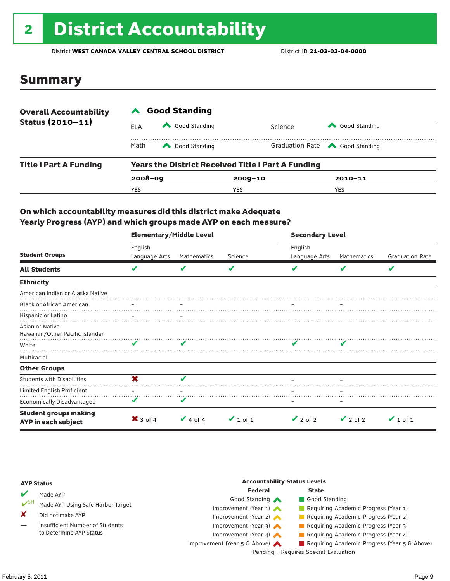# 2 District Accountability

District **WEST CANADA VALLEY CENTRAL SCHOOL DISTRICT** District ID **21-03-02-04-0000**

### Summary

| <b>Overall Accountability</b> | <b>Good Standing</b>                                      |               |             |                                       |  |  |
|-------------------------------|-----------------------------------------------------------|---------------|-------------|---------------------------------------|--|--|
| Status $(2010 - 11)$          | ELA                                                       | Good Standing | Science     | Good Standing                         |  |  |
|                               | Math                                                      | Good Standing |             | Graduation Rate <a> Good Standing</a> |  |  |
| <b>Title I Part A Funding</b> | <b>Years the District Received Title I Part A Funding</b> |               |             |                                       |  |  |
|                               | $2008 - 09$                                               |               | $2009 - 10$ | $2010 - 11$                           |  |  |
|                               | YES                                                       |               | YES         | YES                                   |  |  |

### On which accountability measures did this district make Adequate Yearly Progress (AYP) and which groups made AYP on each measure?

|                                                     | <b>Elementary/Middle Level</b> |               |               |               | <b>Secondary Level</b> |                        |  |  |
|-----------------------------------------------------|--------------------------------|---------------|---------------|---------------|------------------------|------------------------|--|--|
|                                                     | English                        |               |               | English       |                        |                        |  |  |
| <b>Student Groups</b>                               | Language Arts                  | Mathematics   | Science       | Language Arts | Mathematics            | <b>Graduation Rate</b> |  |  |
| <b>All Students</b>                                 | V                              |               | V             |               | v                      | V                      |  |  |
| <b>Ethnicity</b>                                    |                                |               |               |               |                        |                        |  |  |
| American Indian or Alaska Native                    |                                |               |               |               |                        |                        |  |  |
| <b>Black or African American</b>                    |                                |               |               |               |                        |                        |  |  |
| Hispanic or Latino                                  |                                |               |               |               |                        |                        |  |  |
| Asian or Native<br>Hawaiian/Other Pacific Islander  |                                |               |               |               |                        |                        |  |  |
| White                                               | V                              |               |               |               |                        |                        |  |  |
| Multiracial                                         |                                |               |               |               |                        |                        |  |  |
| <b>Other Groups</b>                                 |                                |               |               |               |                        |                        |  |  |
| <b>Students with Disabilities</b>                   | X                              | v             |               |               |                        |                        |  |  |
| Limited English Proficient                          |                                |               |               |               |                        |                        |  |  |
| <b>Economically Disadvantaged</b>                   | V                              | V             |               |               |                        |                        |  |  |
| <b>Student groups making</b><br>AYP in each subject | $\mathsf{X}$ 3 of 4            | $\vee$ 4 of 4 | $\vee$ 1 of 1 | $\vee$ 2 of 2 | $\vee$ 2 of 2          | $\vee$ 1 of 1          |  |  |

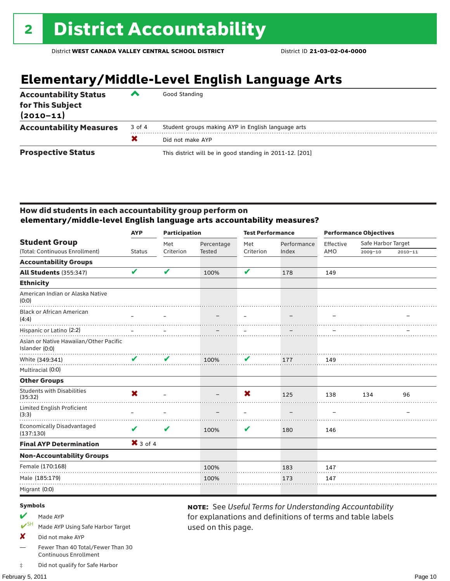# **Elementary/Middle-Level English Language Arts**

| <b>Accountability Status</b><br>for This Subject<br>$(2010 - 11)$ | ◚      | Good Standing                                            |
|-------------------------------------------------------------------|--------|----------------------------------------------------------|
| <b>Accountability Measures</b>                                    | 3 of 4 | Student groups making AYP in English language arts       |
|                                                                   | X      | Did not make AYP                                         |
| <b>Prospective Status</b>                                         |        | This district will be in good standing in 2011-12. [201] |

### How did students in each accountability group perform on **elementary/middle-level English language arts accountability measures?**

|                                                          | <b>AYP</b>                | <b>Participation</b> |               | <b>Test Performance</b> |             | <b>Performance Objectives</b> |                    |             |
|----------------------------------------------------------|---------------------------|----------------------|---------------|-------------------------|-------------|-------------------------------|--------------------|-------------|
| <b>Student Group</b>                                     |                           | Met                  | Percentage    | Met                     | Performance | Effective                     | Safe Harbor Target |             |
| (Total: Continuous Enrollment)                           | <b>Status</b>             | Criterion            | <b>Tested</b> | Criterion               | Index       | AMO                           | 2009-10            | $2010 - 11$ |
| <b>Accountability Groups</b>                             |                           |                      |               |                         |             |                               |                    |             |
| <b>All Students (355:347)</b>                            | V                         | V                    | 100%          | V                       | 178         | 149                           |                    |             |
| <b>Ethnicity</b>                                         |                           |                      |               |                         |             |                               |                    |             |
| American Indian or Alaska Native<br>(0:0)                |                           |                      |               |                         |             |                               |                    |             |
| <b>Black or African American</b><br>(4:4)                |                           |                      |               |                         |             |                               |                    |             |
| Hispanic or Latino (2:2)                                 |                           |                      |               |                         |             |                               |                    |             |
| Asian or Native Hawaiian/Other Pacific<br>Islander (0:0) |                           |                      |               |                         |             |                               |                    |             |
| White (349:341)                                          | V                         | V                    | 100%          | V                       | 177         | 149                           |                    |             |
| Multiracial (0:0)                                        |                           |                      |               |                         |             |                               |                    |             |
| <b>Other Groups</b>                                      |                           |                      |               |                         |             |                               |                    |             |
| <b>Students with Disabilities</b><br>(35:32)             | $\boldsymbol{\mathsf{x}}$ |                      |               | X                       | 125         | 138                           | 134                | 96          |
| Limited English Proficient<br>(3:3)                      |                           |                      |               | $\equiv$                |             |                               |                    |             |
| <b>Economically Disadvantaged</b><br>(137:130)           | V                         | V                    | 100%          | V                       | 180         | 146                           |                    |             |
| <b>Final AYP Determination</b>                           | $X$ 3 of 4                |                      |               |                         |             |                               |                    |             |
| <b>Non-Accountability Groups</b>                         |                           |                      |               |                         |             |                               |                    |             |
| Female (170:168)                                         |                           |                      | 100%          |                         | 183         | 147                           |                    |             |
| Male (185:179)                                           |                           |                      | 100%          |                         | 173         | 147                           |                    |             |
| Migrant (0:0)                                            |                           |                      |               |                         |             |                               |                    |             |
|                                                          |                           |                      |               |                         |             |                               |                    |             |

used on this page.

note: See *Useful Terms for Understanding Accountability*  for explanations and definitions of terms and table labels

#### Symbols

- Made AYP
- Made AYP Using Safe Harbor Target
- X Did not make AYP
- Fewer Than 40 Total/Fewer Than 30 Continuous Enrollment
- ‡ Did not qualify for Safe Harbor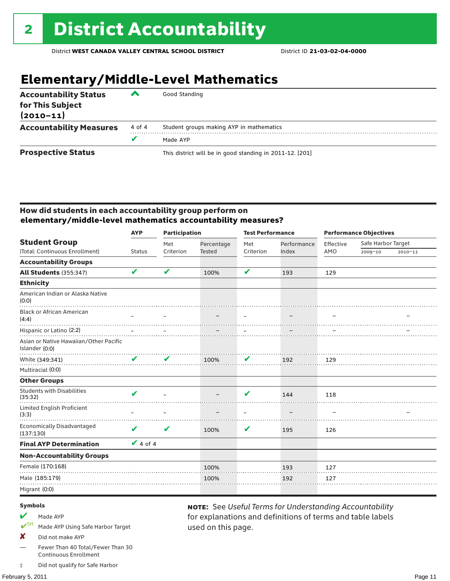# **Elementary/Middle-Level Mathematics**

| <b>Accountability Status</b><br>for This Subject<br>$(2010 - 11)$ | ▰      | Good Standing                                            |
|-------------------------------------------------------------------|--------|----------------------------------------------------------|
| <b>Accountability Measures</b>                                    | 4 of 4 | Student groups making AYP in mathematics                 |
|                                                                   |        | Made AYP                                                 |
| <b>Prospective Status</b>                                         |        | This district will be in good standing in 2011-12. [201] |

### How did students in each accountability group perform on **elementary/middle-level mathematics accountability measures?**

|                                                          | <b>AYP</b>      | <b>Participation</b> |               | <b>Test Performance</b> |             | <b>Performance Objectives</b> |                    |             |
|----------------------------------------------------------|-----------------|----------------------|---------------|-------------------------|-------------|-------------------------------|--------------------|-------------|
| <b>Student Group</b>                                     |                 | Met                  | Percentage    | Met                     | Performance | Effective                     | Safe Harbor Target |             |
| (Total: Continuous Enrollment)                           | <b>Status</b>   | Criterion            | <b>Tested</b> | Criterion               | Index       | AMO                           | 2009-10            | $2010 - 11$ |
| <b>Accountability Groups</b>                             |                 |                      |               |                         |             |                               |                    |             |
| <b>All Students (355:347)</b>                            | V               | V                    | 100%          | V                       | 193         | 129                           |                    |             |
| <b>Ethnicity</b>                                         |                 |                      |               |                         |             |                               |                    |             |
| American Indian or Alaska Native<br>(0:0)                |                 |                      |               |                         |             |                               |                    |             |
| <b>Black or African American</b><br>(4:4)                |                 |                      |               |                         |             |                               |                    |             |
| Hispanic or Latino (2:2)                                 |                 |                      |               |                         |             |                               |                    |             |
| Asian or Native Hawaiian/Other Pacific<br>Islander (0:0) |                 |                      |               |                         |             |                               |                    |             |
| White (349:341)                                          | V               | V                    | 100%          | V                       | 192         | 129                           |                    |             |
| Multiracial (0:0)                                        |                 |                      |               |                         |             |                               |                    |             |
| <b>Other Groups</b>                                      |                 |                      |               |                         |             |                               |                    |             |
| <b>Students with Disabilities</b><br>(35:32)             | V               |                      |               | V                       | 144         | 118                           |                    |             |
| <b>Limited English Proficient</b><br>(3:3)               |                 |                      |               |                         |             |                               |                    |             |
| <b>Economically Disadvantaged</b><br>(137:130)           | V               | V                    | 100%          | V                       | 195         | 126                           |                    |             |
| <b>Final AYP Determination</b>                           | $\sqrt{4}$ of 4 |                      |               |                         |             |                               |                    |             |
| <b>Non-Accountability Groups</b>                         |                 |                      |               |                         |             |                               |                    |             |
| Female (170:168)                                         |                 |                      | 100%          |                         | 193         | 127                           |                    |             |
| Male (185:179)                                           |                 |                      | 100%          |                         | 192         | 127                           |                    |             |
| Migrant (0:0)                                            |                 |                      |               |                         |             |                               |                    |             |
|                                                          |                 |                      |               |                         |             |                               |                    |             |

used on this page.

note: See *Useful Terms for Understanding Accountability*  for explanations and definitions of terms and table labels

#### Symbols

- Made AYP
- SH Made AYP Using Safe Harbor Target
- X Did not make AYP
- Fewer Than 40 Total/Fewer Than 30 Continuous Enrollment
- ‡ Did not qualify for Safe Harbor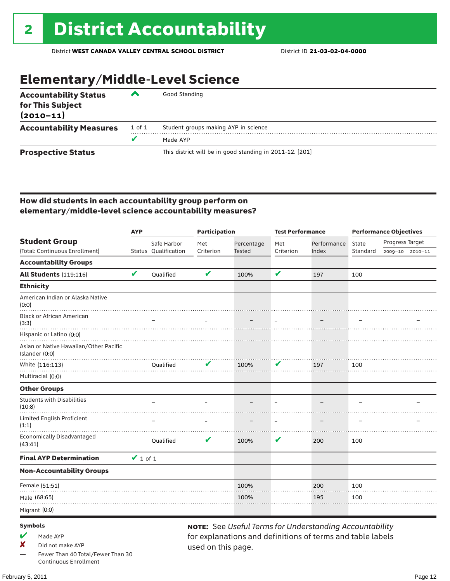# Elementary/Middle-Level Science

| <b>Accountability Status</b><br>for This Subject<br>$(2010 - 11)$ | ‴      | Good Standing                                            |  |  |  |  |  |
|-------------------------------------------------------------------|--------|----------------------------------------------------------|--|--|--|--|--|
| <b>Accountability Measures</b>                                    | 1 of 1 | Student groups making AYP in science                     |  |  |  |  |  |
|                                                                   |        | Made AYP                                                 |  |  |  |  |  |
| <b>Prospective Status</b>                                         |        | This district will be in good standing in 2011-12. [201] |  |  |  |  |  |

### How did students in each accountability group perform on elementary/middle-level science accountability measures?

|                                                          | <b>AYP</b>    |                      |                            | Participation |           | <b>Test Performance</b>                                        | <b>Performance Objectives</b> |                 |                 |
|----------------------------------------------------------|---------------|----------------------|----------------------------|---------------|-----------|----------------------------------------------------------------|-------------------------------|-----------------|-----------------|
| <b>Student Group</b>                                     |               | Safe Harbor          | Met                        | Percentage    | Met       | Performance                                                    | State                         | Progress Target |                 |
| (Total: Continuous Enrollment)                           |               | Status Qualification | Criterion                  | <b>Tested</b> | Criterion | Index                                                          | Standard                      |                 | 2009-10 2010-11 |
| <b>Accountability Groups</b>                             |               |                      |                            |               |           |                                                                |                               |                 |                 |
| <b>All Students (119:116)</b>                            | V             | Qualified            | $\boldsymbol{\mathcal{U}}$ | 100%          | V         | 197                                                            | 100                           |                 |                 |
| <b>Ethnicity</b>                                         |               |                      |                            |               |           |                                                                |                               |                 |                 |
| American Indian or Alaska Native<br>(0:0)                |               |                      |                            |               |           |                                                                |                               |                 |                 |
| <b>Black or African American</b><br>(3:3)                |               |                      |                            |               |           |                                                                |                               |                 |                 |
| Hispanic or Latino (0:0)                                 |               |                      |                            |               |           |                                                                |                               |                 |                 |
| Asian or Native Hawaiian/Other Pacific<br>Islander (0:0) |               |                      |                            |               |           |                                                                |                               |                 |                 |
| White (116:113)                                          |               | Qualified            |                            | 100%          | V         | 197                                                            | 100                           |                 |                 |
| Multiracial (0:0)                                        |               |                      |                            |               |           |                                                                |                               |                 |                 |
| <b>Other Groups</b>                                      |               |                      |                            |               |           |                                                                |                               |                 |                 |
| <b>Students with Disabilities</b><br>(10:8)              |               |                      |                            |               |           |                                                                |                               |                 |                 |
| Limited English Proficient<br>(1:1)                      |               |                      |                            |               |           |                                                                |                               |                 |                 |
| <b>Economically Disadvantaged</b><br>(43:41)             |               | Qualified            | V                          | 100%          | V         | 200                                                            | 100                           |                 |                 |
| <b>Final AYP Determination</b>                           | $\vee$ 1 of 1 |                      |                            |               |           |                                                                |                               |                 |                 |
| <b>Non-Accountability Groups</b>                         |               |                      |                            |               |           |                                                                |                               |                 |                 |
| Female (51:51)                                           |               |                      |                            | 100%          |           | 200                                                            | 100                           |                 |                 |
| Male (68:65)                                             |               |                      |                            | 100%          |           | 195                                                            | 100                           |                 |                 |
| Migrant (0:0)                                            |               |                      |                            |               |           |                                                                |                               |                 |                 |
| <b>Symbols</b>                                           |               |                      |                            |               |           | <b>NOTE:</b> See Useful Terms for Understanding Accountability |                               |                 |                 |

- $M$  Made AYP
- ✘ Did not make AYP
- Fewer Than 40 Total/Fewer Than 30 Continuous Enrollment

note: See *Useful Terms for Understanding Accountability*  for explanations and definitions of terms and table labels used on this page.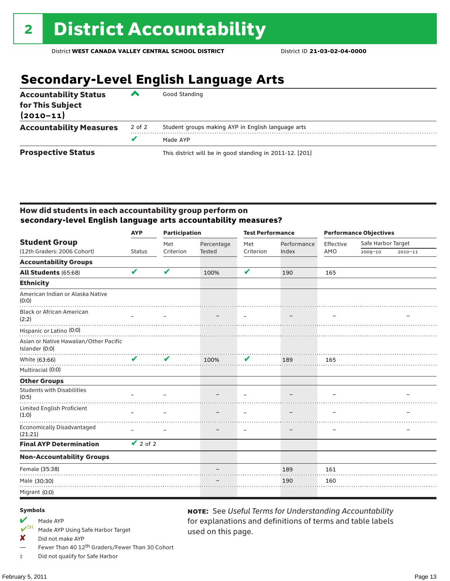# **Secondary-Level English Language Arts**

| <b>Accountability Status</b><br>for This Subject<br>$(2010 - 11)$ | ▰      | Good Standing                                            |  |  |  |  |  |
|-------------------------------------------------------------------|--------|----------------------------------------------------------|--|--|--|--|--|
| <b>Accountability Measures</b>                                    | 2 of 2 | Student groups making AYP in English language arts       |  |  |  |  |  |
|                                                                   | v      | Made AYP                                                 |  |  |  |  |  |
| <b>Prospective Status</b>                                         |        | This district will be in good standing in 2011-12. [201] |  |  |  |  |  |

### How did students in each accountability group perform on **secondary-level English language arts accountability measures?**

|                                                          | <b>Participation</b><br><b>AYP</b> |                            |            | <b>Test Performance</b> |             | <b>Performance Objectives</b> |                    |             |
|----------------------------------------------------------|------------------------------------|----------------------------|------------|-------------------------|-------------|-------------------------------|--------------------|-------------|
| <b>Student Group</b>                                     |                                    | Met                        | Percentage | Met                     | Performance | Effective                     | Safe Harbor Target |             |
| (12th Graders: 2006 Cohort)                              | <b>Status</b>                      | Criterion                  | Tested     | Criterion               | Index       | AMO                           | 2009-10            | $2010 - 11$ |
| <b>Accountability Groups</b>                             |                                    |                            |            |                         |             |                               |                    |             |
| All Students (65:68)                                     | V                                  | $\boldsymbol{\mathcal{U}}$ | 100%       | V                       | 190         | 165                           |                    |             |
| <b>Ethnicity</b>                                         |                                    |                            |            |                         |             |                               |                    |             |
| American Indian or Alaska Native<br>(0:0)                |                                    |                            |            |                         |             |                               |                    |             |
| <b>Black or African American</b><br>(2:2)                |                                    |                            |            |                         |             |                               |                    |             |
| Hispanic or Latino (0:0)                                 |                                    |                            |            |                         |             |                               |                    |             |
| Asian or Native Hawaiian/Other Pacific<br>Islander (0:0) |                                    |                            |            |                         |             |                               |                    |             |
| White (63:66)                                            | V                                  | V                          | 100%       | V                       | 189         | 165                           |                    |             |
| Multiracial (0:0)                                        |                                    |                            |            |                         |             |                               |                    |             |
| <b>Other Groups</b>                                      |                                    |                            |            |                         |             |                               |                    |             |
| <b>Students with Disabilities</b><br>(0:5)               |                                    |                            |            |                         |             |                               |                    |             |
| Limited English Proficient<br>(1:0)                      |                                    |                            |            |                         |             |                               |                    |             |
| <b>Economically Disadvantaged</b><br>(21:21)             |                                    |                            |            |                         |             |                               |                    |             |
| <b>Final AYP Determination</b>                           | $\vee$ 2 of 2                      |                            |            |                         |             |                               |                    |             |
| <b>Non-Accountability Groups</b>                         |                                    |                            |            |                         |             |                               |                    |             |
| Female (35:38)                                           |                                    |                            |            |                         | 189         | 161                           |                    |             |
| Male (30:30)                                             |                                    |                            |            |                         | 190         | 160                           |                    |             |
| Migrant (0:0)                                            |                                    |                            |            |                         |             |                               |                    |             |

used on this page.

note: See *Useful Terms for Understanding Accountability*  for explanations and definitions of terms and table labels

#### Symbols

- Made AYP<br>
<del>V</del>SH Made AVP
- Made AYP Using Safe Harbor Target
- $\boldsymbol{X}$  Did not make AYP
- Fewer Than 40 12<sup>th</sup> Graders/Fewer Than 30 Cohort
- ‡ Did not qualify for Safe Harbor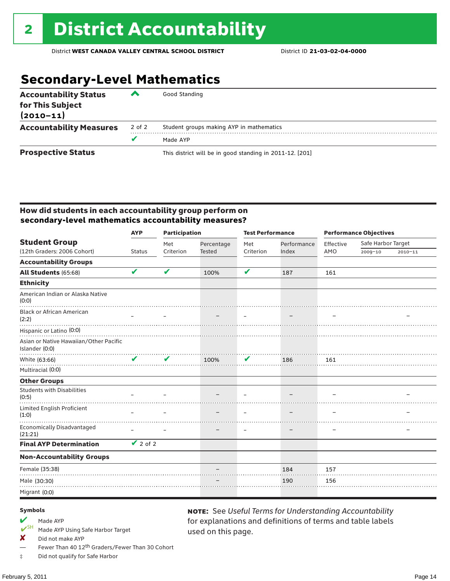# **Secondary-Level Mathematics**

| <b>Accountability Status</b><br>for This Subject<br>$(2010 - 11)$ | ▰      | Good Standing                                            |
|-------------------------------------------------------------------|--------|----------------------------------------------------------|
| <b>Accountability Measures</b>                                    | 2 of 2 | Student groups making AYP in mathematics                 |
|                                                                   |        | Made AYP                                                 |
| <b>Prospective Status</b>                                         |        | This district will be in good standing in 2011-12. [201] |

### How did students in each accountability group perform on **secondary-level mathematics accountability measures?**

|                                                          | <b>AYP</b>      | <b>Participation</b>       |            | <b>Test Performance</b> |             | <b>Performance Objectives</b> |                    |             |
|----------------------------------------------------------|-----------------|----------------------------|------------|-------------------------|-------------|-------------------------------|--------------------|-------------|
| <b>Student Group</b>                                     |                 | Met                        | Percentage | Met                     | Performance | Effective                     | Safe Harbor Target |             |
| (12th Graders: 2006 Cohort)                              | <b>Status</b>   | Criterion                  | Tested     | Criterion               | Index       | AMO                           | 2009-10            | $2010 - 11$ |
| <b>Accountability Groups</b>                             |                 |                            |            |                         |             |                               |                    |             |
| All Students (65:68)                                     | V               | V                          | 100%       | V                       | 187         | 161                           |                    |             |
| <b>Ethnicity</b>                                         |                 |                            |            |                         |             |                               |                    |             |
| American Indian or Alaska Native<br>(0:0)                |                 |                            |            |                         |             |                               |                    |             |
| <b>Black or African American</b><br>(2:2)                |                 |                            |            |                         |             |                               |                    |             |
| Hispanic or Latino (0:0)                                 |                 |                            |            |                         |             |                               |                    |             |
| Asian or Native Hawaiian/Other Pacific<br>Islander (0:0) |                 |                            |            |                         |             |                               |                    |             |
| White (63:66)                                            | ✔               | $\boldsymbol{\mathcal{U}}$ | 100%       | V                       | 186         | 161                           |                    |             |
| Multiracial (0:0)                                        |                 |                            |            |                         |             |                               |                    |             |
| <b>Other Groups</b>                                      |                 |                            |            |                         |             |                               |                    |             |
| <b>Students with Disabilities</b><br>(0:5)               |                 |                            |            |                         |             |                               |                    |             |
| Limited English Proficient<br>(1:0)                      |                 |                            |            |                         |             |                               |                    |             |
| <b>Economically Disadvantaged</b><br>(21:21)             |                 |                            |            |                         |             |                               |                    |             |
| <b>Final AYP Determination</b>                           | $\sqrt{2}$ of 2 |                            |            |                         |             |                               |                    |             |
| <b>Non-Accountability Groups</b>                         |                 |                            |            |                         |             |                               |                    |             |
| Female (35:38)                                           |                 |                            |            |                         | 184         | 157                           |                    |             |
| Male (30:30)                                             |                 |                            |            |                         | 190         | 156                           |                    |             |
| Migrant (0:0)                                            |                 |                            |            |                         |             |                               |                    |             |

used on this page.

note: See *Useful Terms for Understanding Accountability*  for explanations and definitions of terms and table labels

#### Symbols

- Made AYP<br>
<del>V</del>SH Made AVP
- Made AYP Using Safe Harbor Target
- $\boldsymbol{X}$  Did not make AYP
- Fewer Than 40 12<sup>th</sup> Graders/Fewer Than 30 Cohort
- ‡ Did not qualify for Safe Harbor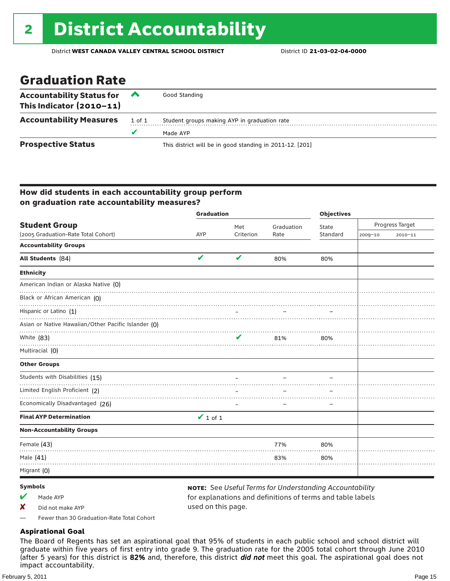## Graduation Rate

| Accountability Status for $\triangle$<br>This Indicator $(2010-11)$ |        | Good Standing                                            |
|---------------------------------------------------------------------|--------|----------------------------------------------------------|
| <b>Accountability Measures</b>                                      | 1 of 1 | Student groups making AYP in graduation rate             |
|                                                                     |        | Made AYP                                                 |
| <b>Prospective Status</b>                                           |        | This district will be in good standing in 2011-12. [201] |

### How did students in each accountability group perform on graduation rate accountability measures?

|                                                     | <b>Graduation</b>          |           | <b>Objectives</b> |          |                 |             |
|-----------------------------------------------------|----------------------------|-----------|-------------------|----------|-----------------|-------------|
| <b>Student Group</b>                                |                            | Met       | Graduation        | State    | Progress Target |             |
| (2005 Graduation-Rate Total Cohort)                 | <b>AYP</b>                 | Criterion | Rate              | Standard | 2009-10         | $2010 - 11$ |
| <b>Accountability Groups</b>                        |                            |           |                   |          |                 |             |
| All Students (84)                                   | $\boldsymbol{\mathcal{U}}$ | V         | 80%               | 80%      |                 |             |
| <b>Ethnicity</b>                                    |                            |           |                   |          |                 |             |
| American Indian or Alaska Native (0)                |                            |           |                   |          |                 |             |
| Black or African American (O)                       |                            |           |                   |          |                 |             |
| Hispanic or Latino (1)                              |                            |           |                   |          |                 |             |
| Asian or Native Hawaiian/Other Pacific Islander (O) |                            |           |                   |          |                 |             |
| White (83)                                          |                            | ✔         | 81%               | 80%      |                 |             |
| Multiracial (0)                                     |                            |           |                   |          |                 |             |
| <b>Other Groups</b>                                 |                            |           |                   |          |                 |             |
| Students with Disabilities (15)                     |                            |           |                   |          |                 |             |
| Limited English Proficient (2)                      |                            |           |                   |          |                 |             |
| Economically Disadvantaged (26)                     |                            |           |                   |          |                 |             |
| <b>Final AYP Determination</b>                      | $\vee$ 1 of 1              |           |                   |          |                 |             |
| <b>Non-Accountability Groups</b>                    |                            |           |                   |          |                 |             |
| Female (43)                                         |                            |           | 77%               | 80%      |                 |             |
| Male (41)                                           |                            |           | 83%               | 80%      |                 |             |
| Migrant (0)                                         |                            |           |                   |          |                 |             |

### Symbols

- $M$  Made AYP
- X Did not make AYP

note: See *Useful Terms for Understanding Accountability*  for explanations and definitions of terms and table labels used on this page.

— Fewer than 30 Graduation-Rate Total Cohort

### **Aspirational Goal**

The Board of Regents has set an aspirational goal that 95% of students in each public school and school district will graduate within five years of first entry into grade 9. The graduation rate for the 2005 total cohort through June 2010 (after 5 years) for this district is 82% and, therefore, this district *did not* meet this goal. The aspirational goal does not impact accountability.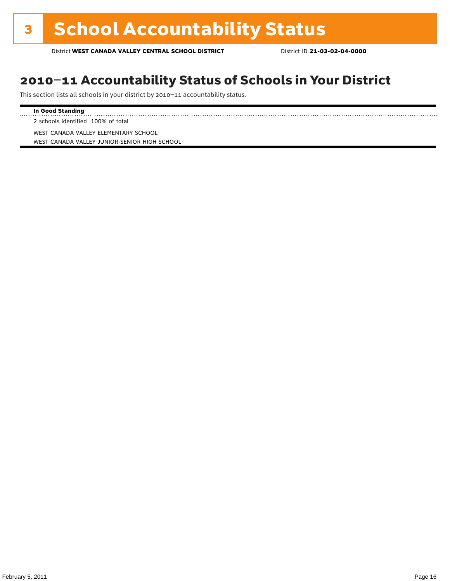# 2010–11 Accountability Status of Schools in Your District

This section lists all schools in your district by 2010–11 accountability status.

### **In Good Standing**

. . . . . . . . . . . . . . . . . . . . 2 schools identified 100% of total

WEST CANADA VALLEY ELEMENTARY SCHOOL WEST CANADA VALLEY JUNIOR-SENIOR HIGH SCHOOL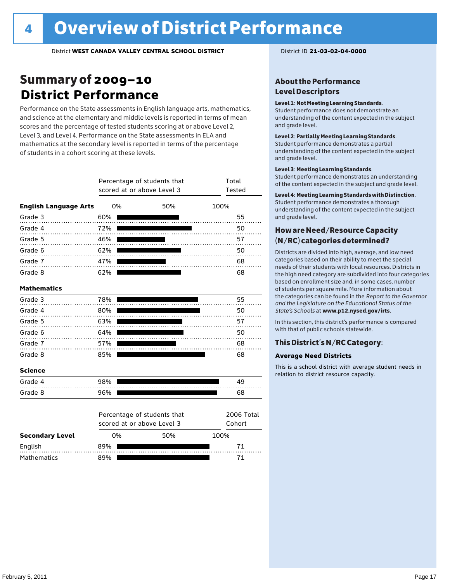# Summary of 2009–10 **District Performance**

Performance on the State assessments in English language arts, mathematics, and science at the elementary and middle levels is reported in terms of mean scores and the percentage of tested students scoring at or above Level 2, Level 3, and Level 4. Performance on the State assessments in ELA and mathematics at the secondary level is reported in terms of the percentage of students in a cohort scoring at these levels.

|                              |     | Percentage of students that<br>scored at or above Level 3 | Total<br>Tested             |
|------------------------------|-----|-----------------------------------------------------------|-----------------------------|
| <b>English Language Arts</b> | 0%  | 50%                                                       | 100%                        |
| Grade 3                      | 60% |                                                           | 55                          |
| Grade 4<br>.                 | 72% |                                                           | 50                          |
| Grade 5                      | 46% |                                                           | 57                          |
| Grade 6                      | 62% |                                                           | 50                          |
| Grade 7                      | 47% |                                                           | 68                          |
| Grade 8                      | 62% |                                                           | 68                          |
| <b>Mathematics</b>           |     |                                                           |                             |
| Grade 3                      | 78% |                                                           | 55                          |
| Grade 4                      | 80% |                                                           | 50                          |
| Grade 5                      | 63% |                                                           | 57                          |
| Grade 6                      | 64% |                                                           | 50                          |
| Grade 7                      | 57% |                                                           | 68                          |
| Grade 8                      | 85% |                                                           | 68                          |
| <b>Science</b>               |     |                                                           |                             |
| Grade 4                      | 98% |                                                           | 49                          |
| Grade 8                      | 96% |                                                           | 68                          |
|                              |     | Percentage of students that<br>scored at or above Level 3 | <b>2006 Total</b><br>Cohort |
| <b>Secondary Level</b>       | 0%  | 50%                                                       | 100%                        |

English 89% 71 Mathematics 89% 89% 71

### About the Performance Level Descriptors

#### Level 1: Not Meeting Learning Standards.

Student performance does not demonstrate an understanding of the content expected in the subject and grade level.

#### Level 2: Partially Meeting Learning Standards.

Student performance demonstrates a partial understanding of the content expected in the subject and grade level.

#### Level 3: Meeting Learning Standards.

Student performance demonstrates an understanding of the content expected in the subject and grade level.

#### Level 4: Meeting Learning Standards with Distinction.

Student performance demonstrates a thorough understanding of the content expected in the subject and grade level.

### How are Need/Resource Capacity (N/RC) categories determined?

Districts are divided into high, average, and low need categories based on their ability to meet the special needs of their students with local resources. Districts in the high need category are subdivided into four categories based on enrollment size and, in some cases, number of students per square mile. More information about the categories can be found in the *Report to the Governor and the Legislature on the Educational Status of the State's Schools* at www.p12.nysed.gov/irts.

In this section, this district's performance is compared with that of public schools statewide.

### This District's N/RC Category:

### **Average Need Districts**

This is a school district with average student needs in relation to district resource capacity.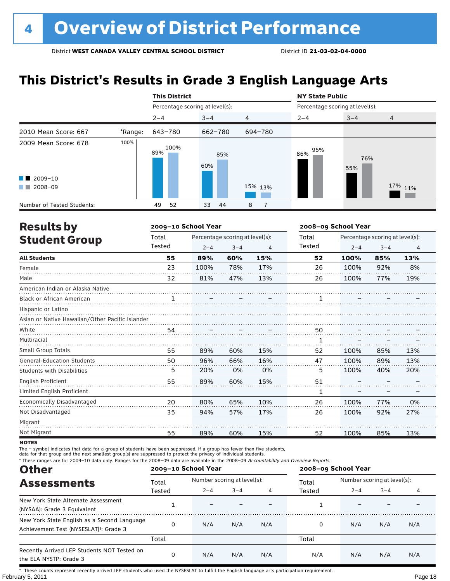# **This District's Results in Grade 3 English Language Arts**

|                            |         | <b>This District</b>            |            |                |                                 | <b>NY State Public</b> |                |  |  |
|----------------------------|---------|---------------------------------|------------|----------------|---------------------------------|------------------------|----------------|--|--|
|                            |         | Percentage scoring at level(s): |            |                | Percentage scoring at level(s): |                        |                |  |  |
|                            |         | $2 - 4$                         | $3 - 4$    | $\overline{4}$ | $2 - 4$                         | $3 - 4$                | $\overline{4}$ |  |  |
| 2010 Mean Score: 667       | *Range: | 643-780                         | 662-780    | 694-780        |                                 |                        |                |  |  |
| 2009 Mean Score: 678       | 100%    | 100%<br>89%                     | 85%<br>60% |                | 95%<br>86%                      | 76%<br>55%             |                |  |  |
| $\blacksquare$ 2009-10     |         |                                 |            |                |                                 |                        |                |  |  |
| 2008-09<br>. .             |         |                                 |            | 15% 13%        |                                 |                        | 17% 11%        |  |  |
| Number of Tested Students: |         | 52<br>49                        | 33<br>-44  | 8              |                                 |                        |                |  |  |

| <b>Results by</b>                               |        | 2009-10 School Year |                                 |                |        | 2008-09 School Year             |         |                |  |  |
|-------------------------------------------------|--------|---------------------|---------------------------------|----------------|--------|---------------------------------|---------|----------------|--|--|
| <b>Student Group</b>                            | Total  |                     | Percentage scoring at level(s): |                | Total  | Percentage scoring at level(s): |         |                |  |  |
|                                                 | Tested | $2 - 4$             | $3 - 4$                         | $\overline{4}$ | Tested | $2 - 4$                         | $3 - 4$ | $\overline{4}$ |  |  |
| <b>All Students</b>                             | 55     | 89%                 | 60%                             | 15%            | 52     | 100%                            | 85%     | 13%            |  |  |
| Female                                          | 23     | 100%                | 78%                             | 17%            | 26     | 100%                            | 92%     | 8%             |  |  |
| Male                                            | 32     | 81%                 | 47%                             | 13%            | 26     | 100%                            | 77%     | 19%            |  |  |
| American Indian or Alaska Native                |        |                     |                                 |                |        |                                 |         |                |  |  |
| <b>Black or African American</b>                | 1      |                     |                                 |                |        |                                 |         |                |  |  |
| Hispanic or Latino                              |        |                     |                                 |                |        |                                 |         |                |  |  |
| Asian or Native Hawaiian/Other Pacific Islander |        |                     |                                 |                |        |                                 |         |                |  |  |
| White                                           | 54     |                     |                                 |                | 50     |                                 |         |                |  |  |
| Multiracial                                     |        |                     |                                 |                | 1      |                                 |         |                |  |  |
| <b>Small Group Totals</b>                       | 55     | 89%                 | 60%                             | 15%            | 52     | 100%                            | 85%     | 13%            |  |  |
| <b>General-Education Students</b>               | 50     | 96%                 | 66%                             | 16%            | 47     | 100%                            | 89%     | 13%            |  |  |
| <b>Students with Disabilities</b>               | 5      | 20%                 | 0%                              | 0%             | 5      | 100%                            | 40%     | 20%            |  |  |
| <b>English Proficient</b>                       | 55     | 89%                 | 60%                             | 15%            | 51     |                                 |         |                |  |  |
| Limited English Proficient                      |        |                     |                                 |                | 1      |                                 |         |                |  |  |
| Economically Disadvantaged                      | 20     | 80%                 | 65%                             | 10%            | 26     | 100%                            | 77%     | 0%             |  |  |
| Not Disadvantaged                               | 35     | 94%                 | 57%                             | 17%            | 26     | 100%                            | 92%     | 27%            |  |  |
| Migrant                                         |        |                     |                                 |                |        |                                 |         |                |  |  |
| Not Migrant                                     | 55     | 89%                 | 60%                             | 15%            | 52     | 100%                            | 85%     | 13%            |  |  |

**NOTES** 

The – symbol indicates that data for a group of students have been suppressed. If a group has fewer than five students,

data for that group and the next smallest group(s) are suppressed to protect the privacy of individual students.

\* These ranges are for 2009–10 data only. Ranges for the 2008–09 data are available in the 2008–09 Accountability and Overview Reports.

| <b>Other</b>                                                                                      |        | 2009-10 School Year |                             |     | 2008-09 School Year |                             |         |     |  |
|---------------------------------------------------------------------------------------------------|--------|---------------------|-----------------------------|-----|---------------------|-----------------------------|---------|-----|--|
| <b>Assessments</b>                                                                                | Total  |                     | Number scoring at level(s): |     |                     | Number scoring at level(s): |         |     |  |
|                                                                                                   | Tested | $2 - 4$             | $3 - 4$                     |     | Tested              | $2 - 4$                     | $3 - 4$ |     |  |
| New York State Alternate Assessment<br>(NYSAA): Grade 3 Equivalent                                |        |                     |                             |     |                     |                             |         |     |  |
| New York State English as a Second Language<br>Achievement Test (NYSESLAT) <sup>+</sup> : Grade 3 |        | N/A                 | N/A                         | N/A | 0                   | N/A                         | N/A     | N/A |  |
|                                                                                                   | Total  |                     |                             |     | Total               |                             |         |     |  |
| Recently Arrived LEP Students NOT Tested on<br>the ELA NYSTP: Grade 3                             |        | N/A                 | N/A                         | N/A | N/A                 | N/A                         | N/A     | N/A |  |

February 5, 2011 **Page 18** † These counts represent recently arrived LEP students who used the NYSESLAT to fulfill the English language arts participation requirement.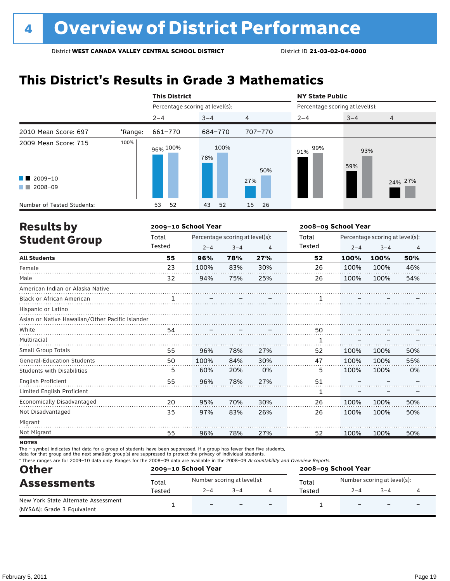# **This District's Results in Grade 3 Mathematics**

|                                                           |         | <b>This District</b>            |             |            | <b>NY State Public</b>          |            |         |  |
|-----------------------------------------------------------|---------|---------------------------------|-------------|------------|---------------------------------|------------|---------|--|
|                                                           |         | Percentage scoring at level(s): |             |            | Percentage scoring at level(s): |            |         |  |
|                                                           |         | $2 - 4$                         | $3 - 4$     | 4          | $2 - 4$                         | $3 - 4$    | 4       |  |
| 2010 Mean Score: 697                                      | *Range: | 661-770                         | 684-770     | 707-770    |                                 |            |         |  |
| 2009 Mean Score: 715<br>$\blacksquare$ 2009-10<br>2008-09 | 100%    | 96% <sup>100%</sup>             | 100%<br>78% | 50%<br>27% | 99%<br>91%                      | 93%<br>59% | 24% 27% |  |
| a kacamatan                                               |         |                                 |             |            |                                 |            |         |  |
| Number of Tested Students:                                |         | 52<br>53                        | 52<br>43    | 15<br>26   |                                 |            |         |  |

| <b>Results by</b>                               |        | 2009-10 School Year |                                 |     | 2008-09 School Year |                                 |         |                |  |
|-------------------------------------------------|--------|---------------------|---------------------------------|-----|---------------------|---------------------------------|---------|----------------|--|
| <b>Student Group</b>                            | Total  |                     | Percentage scoring at level(s): |     | Total               | Percentage scoring at level(s): |         |                |  |
|                                                 | Tested | $2 - 4$             | $3 - 4$                         | 4   | Tested              | $2 - 4$                         | $3 - 4$ | $\overline{4}$ |  |
| <b>All Students</b>                             | 55     | 96%                 | 78%                             | 27% | 52                  | 100%                            | 100%    | 50%            |  |
| Female                                          | 23     | 100%                | 83%                             | 30% | 26                  | 100%                            | 100%    | 46%            |  |
| Male                                            | 32     | 94%                 | 75%                             | 25% | 26                  | 100%                            | 100%    | 54%            |  |
| American Indian or Alaska Native                |        |                     |                                 |     |                     |                                 |         |                |  |
| <b>Black or African American</b>                |        |                     |                                 |     |                     |                                 |         |                |  |
| Hispanic or Latino                              |        |                     |                                 |     |                     |                                 |         |                |  |
| Asian or Native Hawaiian/Other Pacific Islander |        |                     |                                 |     |                     |                                 |         |                |  |
| White                                           | 54     |                     |                                 |     | 50                  |                                 |         |                |  |
| Multiracial                                     |        |                     |                                 |     | 1                   |                                 |         |                |  |
| <b>Small Group Totals</b>                       | 55     | 96%                 | 78%                             | 27% | 52                  | 100%                            | 100%    | 50%            |  |
| <b>General-Education Students</b>               | 50     | 100%                | 84%                             | 30% | 47                  | 100%                            | 100%    | 55%            |  |
| <b>Students with Disabilities</b>               | 5      | 60%                 | 20%                             | 0%  | 5                   | 100%                            | 100%    | 0%             |  |
| <b>English Proficient</b>                       | 55     | 96%                 | 78%                             | 27% | 51                  |                                 |         |                |  |
| Limited English Proficient                      |        |                     |                                 |     | 1                   |                                 |         |                |  |
| Economically Disadvantaged                      | 20     | 95%                 | 70%                             | 30% | 26                  | 100%                            | 100%    | 50%            |  |
| Not Disadvantaged                               | 35     | 97%                 | 83%                             | 26% | 26                  | 100%                            | 100%    | 50%            |  |
| Migrant                                         |        |                     |                                 |     |                     |                                 |         |                |  |
| Not Migrant                                     | 55     | 96%                 | 78%                             | 27% | 52                  | 100%                            | 100%    | 50%            |  |

**NOTES** 

The – symbol indicates that data for a group of students have been suppressed. If a group has fewer than five students,

data for that group and the next smallest group(s) are suppressed to protect the privacy of individual students.

\* These ranges are for 2009–10 data only. Ranges for the 2008–09 data are available in the 2008–09 Accountability and Overview Reports.

| <b>Other</b>                        |        | 2009-10 School Year         |         |                          | 2008-09 School Year |                             |         |   |  |
|-------------------------------------|--------|-----------------------------|---------|--------------------------|---------------------|-----------------------------|---------|---|--|
| <b>Assessments</b>                  | Total  | Number scoring at level(s): |         |                          | Total               | Number scoring at level(s): |         |   |  |
|                                     | Tested | $2 - 4$                     | $3 - 4$ |                          | Tested              | $2 - 4$                     | $3 - 4$ |   |  |
| New York State Alternate Assessment |        | $\qquad \qquad -$           |         | $\overline{\phantom{0}}$ |                     |                             |         | - |  |
| (NYSAA): Grade 3 Equivalent         |        |                             |         |                          |                     |                             |         |   |  |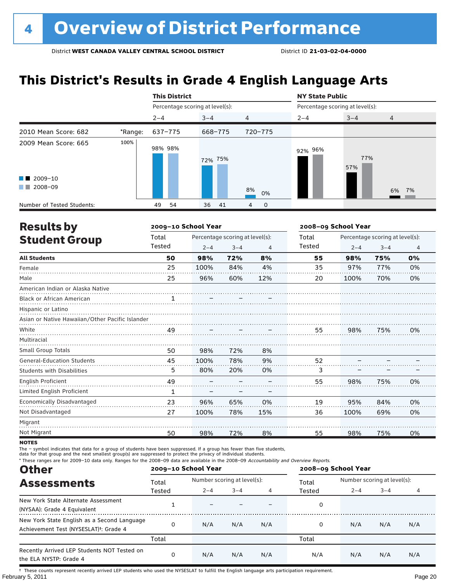# **This District's Results in Grade 4 English Language Arts**

|                            |         | <b>This District</b>            |          |                  | <b>NY State Public</b>          |            |                |  |
|----------------------------|---------|---------------------------------|----------|------------------|---------------------------------|------------|----------------|--|
|                            |         | Percentage scoring at level(s): |          |                  | Percentage scoring at level(s): |            |                |  |
|                            |         | $2 - 4$                         | $3 - 4$  | $\overline{4}$   | $2 - 4$                         | $3 - 4$    | $\overline{4}$ |  |
| 2010 Mean Score: 682       | *Range: | 637-775                         | 668-775  | 720-775          |                                 |            |                |  |
| 2009 Mean Score: 665       | 100%    | 98% 98%                         | 72% 75%  |                  | 92% 96%                         | 77%<br>57% |                |  |
| $\blacksquare$ 2009-10     |         |                                 |          |                  |                                 |            |                |  |
| 2008-09<br>a ka            |         |                                 |          | 8%<br>0%         |                                 |            | 6% 7%          |  |
| Number of Tested Students: |         | 54<br>49                        | 36<br>41 | $\mathbf 0$<br>4 |                                 |            |                |  |

| <b>Results by</b>                               |              | 2009-10 School Year |                                 |     | 2008-09 School Year |                                 |         |    |  |
|-------------------------------------------------|--------------|---------------------|---------------------------------|-----|---------------------|---------------------------------|---------|----|--|
| <b>Student Group</b>                            | Total        |                     | Percentage scoring at level(s): |     | Total               | Percentage scoring at level(s): |         |    |  |
|                                                 | Tested       | $2 - 4$             | $3 - 4$                         | 4   | Tested              | $2 - 4$                         | $3 - 4$ | 4  |  |
| <b>All Students</b>                             | 50           | 98%                 | 72%                             | 8%  | 55                  | 98%                             | 75%     | 0% |  |
| Female                                          | 25           | 100%                | 84%                             | 4%  | 35                  | 97%                             | 77%     | 0% |  |
| Male                                            | 25           | 96%                 | 60%                             | 12% | 20                  | 100%                            | 70%     | 0% |  |
| American Indian or Alaska Native                |              |                     |                                 |     |                     |                                 |         |    |  |
| <b>Black or African American</b>                | 1            |                     |                                 |     |                     |                                 |         |    |  |
| Hispanic or Latino                              |              |                     |                                 |     |                     |                                 |         |    |  |
| Asian or Native Hawaiian/Other Pacific Islander |              |                     |                                 |     |                     |                                 |         |    |  |
| White                                           | 49           |                     |                                 |     | 55                  | 98%                             | 75%     | 0% |  |
| Multiracial                                     |              |                     |                                 |     |                     |                                 |         |    |  |
| <b>Small Group Totals</b>                       | 50           | 98%                 | 72%                             | 8%  |                     |                                 |         |    |  |
| <b>General-Education Students</b>               | 45           | 100%                | 78%                             | 9%  | 52                  |                                 |         |    |  |
| <b>Students with Disabilities</b>               | 5            | 80%                 | 20%                             | 0%  | 3                   |                                 |         |    |  |
| English Proficient                              | 49           |                     |                                 |     | 55                  | 98%                             | 75%     | 0% |  |
| Limited English Proficient                      | $\mathbf{1}$ |                     |                                 |     |                     |                                 |         |    |  |
| Economically Disadvantaged                      | 23           | 96%                 | 65%                             | 0%  | 19                  | 95%                             | 84%     | 0% |  |
| Not Disadvantaged                               | 27           | 100%                | 78%                             | 15% | 36                  | 100%                            | 69%     | 0% |  |
| Migrant                                         |              |                     |                                 |     |                     |                                 |         |    |  |
| Not Migrant                                     | 50           | 98%                 | 72%                             | 8%  | 55                  | 98%                             | 75%     | 0% |  |

**NOTES** 

The – symbol indicates that data for a group of students have been suppressed. If a group has fewer than five students,

data for that group and the next smallest group(s) are suppressed to protect the privacy of individual students.

\* These ranges are for 2009–10 data only. Ranges for the 2008–09 data are available in the 2008–09 Accountability and Overview Reports.

| <b>Other</b>                                                                                      |        | 2009-10 School Year |                             |     | 2008-09 School Year |                             |         |     |  |
|---------------------------------------------------------------------------------------------------|--------|---------------------|-----------------------------|-----|---------------------|-----------------------------|---------|-----|--|
| <b>Assessments</b>                                                                                | Total  |                     | Number scoring at level(s): |     |                     | Number scoring at level(s): |         |     |  |
|                                                                                                   | Tested | $2 - 4$             | $3 - 4$                     |     | Tested              | $2 - 4$                     | $3 - 4$ | 4   |  |
| New York State Alternate Assessment<br>(NYSAA): Grade 4 Equivalent                                |        |                     |                             |     | 0                   |                             |         |     |  |
| New York State English as a Second Language<br>Achievement Test (NYSESLAT) <sup>+</sup> : Grade 4 |        | N/A                 | N/A                         | N/A | 0                   | N/A                         | N/A     | N/A |  |
|                                                                                                   | Total  |                     |                             |     | Total               |                             |         |     |  |
| Recently Arrived LEP Students NOT Tested on<br>the ELA NYSTP: Grade 4                             |        | N/A                 | N/A                         | N/A | N/A                 | N/A                         | N/A     | N/A |  |

February 5, 2011 Page 20 † These counts represent recently arrived LEP students who used the NYSESLAT to fulfill the English language arts participation requirement.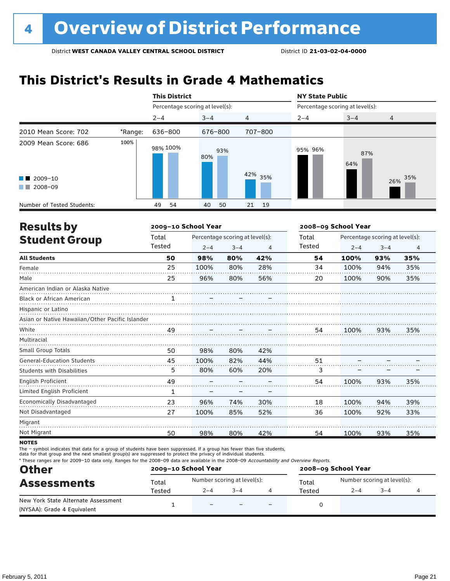# **This District's Results in Grade 4 Mathematics**

|                                                                                                                                                                                                                                                                                                   |         | <b>This District</b>            |            |            | <b>NY State Public</b>          |            |            |  |
|---------------------------------------------------------------------------------------------------------------------------------------------------------------------------------------------------------------------------------------------------------------------------------------------------|---------|---------------------------------|------------|------------|---------------------------------|------------|------------|--|
|                                                                                                                                                                                                                                                                                                   |         | Percentage scoring at level(s): |            |            | Percentage scoring at level(s): |            |            |  |
|                                                                                                                                                                                                                                                                                                   |         | $2 - 4$                         | $3 - 4$    | 4          | $2 - 4$                         | $3 - 4$    | 4          |  |
| 2010 Mean Score: 702                                                                                                                                                                                                                                                                              | *Range: | 636-800                         | 676-800    | 707-800    |                                 |            |            |  |
| 2009 Mean Score: 686<br>$\blacksquare$ 2009-10<br>2008-09<br><b>The Contract of the Contract of the Contract of the Contract of the Contract of the Contract of the Contract of the Contract of the Contract of the Contract of the Contract of the Contract of The Contract of The Contract </b> | 100%    | 98% 100%                        | 93%<br>80% | 42%<br>35% | 95% 96%                         | 87%<br>64% | 35%<br>26% |  |
| Number of Tested Students:                                                                                                                                                                                                                                                                        |         | 54<br>49                        | 50<br>40   | 21<br>- 19 |                                 |            |            |  |

| <b>Results by</b>                               |        | 2009-10 School Year |                                 |     | 2008-09 School Year |                                 |         |                |  |
|-------------------------------------------------|--------|---------------------|---------------------------------|-----|---------------------|---------------------------------|---------|----------------|--|
| <b>Student Group</b>                            | Total  |                     | Percentage scoring at level(s): |     | Total               | Percentage scoring at level(s): |         |                |  |
|                                                 | Tested | $2 - 4$             | $3 - 4$                         | 4   | Tested              | $2 - 4$                         | $3 - 4$ | $\overline{4}$ |  |
| <b>All Students</b>                             | 50     | 98%                 | 80%                             | 42% | 54                  | 100%                            | 93%     | 35%            |  |
| Female                                          | 25     | 100%                | 80%                             | 28% | 34                  | 100%                            | 94%     | 35%            |  |
| Male                                            | 25     | 96%                 | 80%                             | 56% | 20                  | 100%                            | 90%     | 35%            |  |
| American Indian or Alaska Native                |        |                     |                                 |     |                     |                                 |         |                |  |
| <b>Black or African American</b>                |        |                     |                                 |     |                     |                                 |         |                |  |
| Hispanic or Latino                              |        |                     |                                 |     |                     |                                 |         |                |  |
| Asian or Native Hawaiian/Other Pacific Islander |        |                     |                                 |     |                     |                                 |         |                |  |
| White                                           | 49     |                     |                                 |     | 54                  | 100%                            | 93%     | 35%            |  |
| Multiracial                                     |        |                     |                                 |     |                     |                                 |         |                |  |
| <b>Small Group Totals</b>                       | 50     | 98%                 | 80%                             | 42% |                     |                                 |         |                |  |
| <b>General-Education Students</b>               | 45     | 100%                | 82%                             | 44% | 51                  |                                 |         |                |  |
| <b>Students with Disabilities</b>               | 5      | 80%                 | 60%                             | 20% | 3                   |                                 |         |                |  |
| <b>English Proficient</b>                       | 49     |                     |                                 |     | 54                  | 100%                            | 93%     | 35%            |  |
| Limited English Proficient                      | 1      |                     |                                 |     |                     |                                 |         |                |  |
| Economically Disadvantaged                      | 23     | 96%                 | 74%                             | 30% | 18                  | 100%                            | 94%     | 39%            |  |
| Not Disadvantaged                               | 27     | 100%                | 85%                             | 52% | 36                  | 100%                            | 92%     | 33%            |  |
| Migrant                                         |        |                     |                                 |     |                     |                                 |         |                |  |
| Not Migrant                                     | 50     | 98%                 | 80%                             | 42% | 54                  | 100%                            | 93%     | 35%            |  |

**NOTES** 

The – symbol indicates that data for a group of students have been suppressed. If a group has fewer than five students,

data for that group and the next smallest group(s) are suppressed to protect the privacy of individual students.

\* These ranges are for 2009–10 data only. Ranges for the 2008–09 data are available in the 2008–09 Accountability and Overview Reports.

| <b>Other</b>                        |        | 2009-10 School Year         |         |                          | 2008-09 School Year |                             |         |  |  |
|-------------------------------------|--------|-----------------------------|---------|--------------------------|---------------------|-----------------------------|---------|--|--|
| <b>Assessments</b>                  | Total  | Number scoring at level(s): |         |                          | Total               | Number scoring at level(s): |         |  |  |
|                                     | Tested | $2 - 4$                     | $3 - 4$ |                          | Tested              | $2 - 4$                     | $3 - 4$ |  |  |
| New York State Alternate Assessment |        | $\overline{\phantom{0}}$    |         | $\overline{\phantom{0}}$ |                     |                             |         |  |  |
| (NYSAA): Grade 4 Equivalent         |        |                             |         |                          |                     |                             |         |  |  |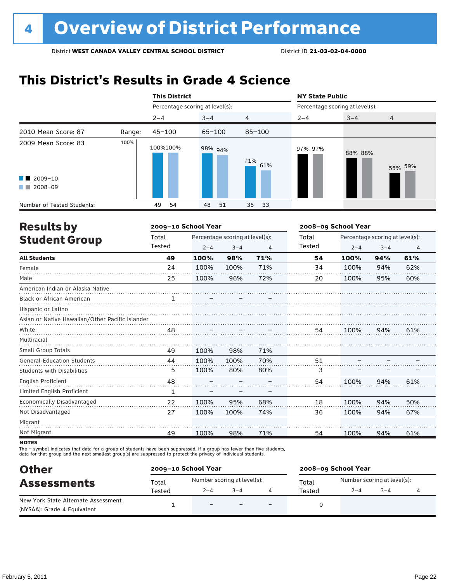# **This District's Results in Grade 4 Science**

|                                                                    |        | <b>This District</b>            |            |            | <b>NY State Public</b>          |         |                |  |
|--------------------------------------------------------------------|--------|---------------------------------|------------|------------|---------------------------------|---------|----------------|--|
|                                                                    |        | Percentage scoring at level(s): |            |            | Percentage scoring at level(s): |         |                |  |
|                                                                    |        | $2 - 4$                         | $3 - 4$    | 4          | $2 - 4$                         | $3 - 4$ | $\overline{4}$ |  |
| 2010 Mean Score: 87                                                | Range: | $45 - 100$                      | $65 - 100$ | $85 - 100$ |                                 |         |                |  |
| 2009 Mean Score: 83<br>$\blacksquare$ 2009-10<br>2008-09<br>a sa T | 100%   | 100%100%                        | 98% 94%    | 71%<br>61% | 97% 97%                         | 88% 88% | 55% 59%        |  |
| Number of Tested Students:                                         |        | 54<br>49                        | 51<br>48   | 35<br>33   |                                 |         |                |  |

| <b>Results by</b>                               |              | 2009-10 School Year |                                 |     | 2008-09 School Year |                                 |         |                |  |
|-------------------------------------------------|--------------|---------------------|---------------------------------|-----|---------------------|---------------------------------|---------|----------------|--|
| <b>Student Group</b>                            | Total        |                     | Percentage scoring at level(s): |     | Total               | Percentage scoring at level(s): |         |                |  |
|                                                 | Tested       | $2 - 4$             | $3 - 4$                         | 4   | Tested              | $2 - 4$                         | $3 - 4$ | $\overline{4}$ |  |
| <b>All Students</b>                             | 49           | 100%                | 98%                             | 71% | 54                  | 100%                            | 94%     | 61%            |  |
| Female                                          | 24           | 100%                | 100%                            | 71% | 34                  | 100%                            | 94%     | 62%            |  |
| Male                                            | 25           | 100%                | 96%                             | 72% | 20                  | 100%                            | 95%     | 60%            |  |
| American Indian or Alaska Native                |              |                     |                                 |     |                     |                                 |         |                |  |
| <b>Black or African American</b>                |              |                     |                                 |     |                     |                                 |         |                |  |
| Hispanic or Latino                              |              |                     |                                 |     |                     |                                 |         |                |  |
| Asian or Native Hawaiian/Other Pacific Islander |              |                     |                                 |     |                     |                                 |         |                |  |
| White                                           | 48           |                     |                                 |     | 54                  | 100%                            | 94%     | 61%            |  |
| Multiracial                                     |              |                     |                                 |     |                     |                                 |         |                |  |
| <b>Small Group Totals</b>                       | 49           | 100%                | 98%                             | 71% |                     |                                 |         |                |  |
| <b>General-Education Students</b>               | 44           | 100%                | 100%                            | 70% | 51                  |                                 |         |                |  |
| <b>Students with Disabilities</b>               | 5            | 100%                | 80%                             | 80% | 3                   |                                 |         |                |  |
| English Proficient                              | 48           |                     |                                 |     | 54                  | 100%                            | 94%     | 61%            |  |
| Limited English Proficient                      | $\mathbf{1}$ |                     |                                 |     |                     |                                 |         |                |  |
| Economically Disadvantaged                      | 22           | 100%                | 95%                             | 68% | 18                  | 100%                            | 94%     | 50%            |  |
| Not Disadvantaged                               | 27           | 100%                | 100%                            | 74% | 36                  | 100%                            | 94%     | 67%            |  |
| Migrant                                         |              |                     |                                 |     |                     |                                 |         |                |  |
| Not Migrant                                     | 49           | 100%                | 98%                             | 71% | 54                  | 100%                            | 94%     | 61%            |  |
|                                                 |              |                     |                                 |     |                     |                                 |         |                |  |

**NOTES** 

The – symbol indicates that data for a group of students have been suppressed. If a group has fewer than five students,<br>data for that group and the next smallest group(s) are suppressed to protect the privacy of individual

| <b>Other</b>                        |        | 2009-10 School Year         |         | 2008-09 School Year |                             |         |  |  |
|-------------------------------------|--------|-----------------------------|---------|---------------------|-----------------------------|---------|--|--|
| <b>Assessments</b>                  | Total  | Number scoring at level(s): |         | Total               | Number scoring at level(s): |         |  |  |
|                                     | Tested | $2 - 4$                     | $3 - 4$ | Tested              | $2 - 4$                     | $3 - 4$ |  |  |
| New York State Alternate Assessment |        | $\overline{\phantom{0}}$    |         |                     |                             |         |  |  |
| (NYSAA): Grade 4 Equivalent         |        |                             |         |                     |                             |         |  |  |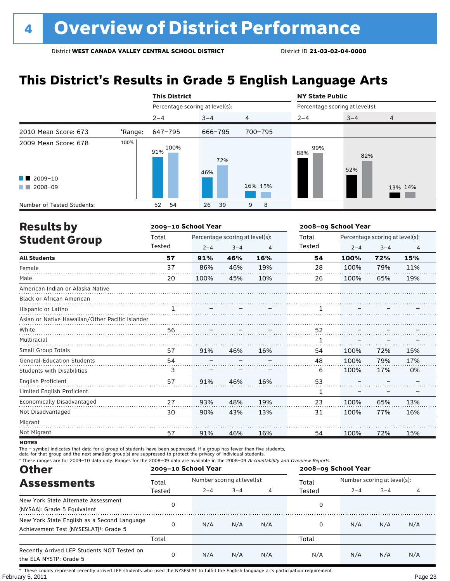# **This District's Results in Grade 5 English Language Arts**

|                                                           |         | <b>This District</b>            |            |                | <b>NY State Public</b>          |            |                |  |
|-----------------------------------------------------------|---------|---------------------------------|------------|----------------|---------------------------------|------------|----------------|--|
|                                                           |         | Percentage scoring at level(s): |            |                | Percentage scoring at level(s): |            |                |  |
|                                                           |         | $2 - 4$                         | $3 - 4$    | $\overline{4}$ | $2 - 4$                         | $3 - 4$    | $\overline{4}$ |  |
| 2010 Mean Score: 673                                      | *Range: | 647-795                         | 666-795    | 700-795        |                                 |            |                |  |
| 2009 Mean Score: 678<br>$\blacksquare$ 2009-10<br>2008-09 | 100%    | 100%<br>91%                     | 72%<br>46% | 16% 15%        | 99%<br>88%                      | 82%<br>52% | 13% 14%        |  |
| Number of Tested Students:                                |         | 54<br>52                        | 39<br>26   | 8<br>9         |                                 |            |                |  |

| <b>Results by</b>                               |              | 2009-10 School Year |                                 |     | 2008-09 School Year |         |                                 |                |  |
|-------------------------------------------------|--------------|---------------------|---------------------------------|-----|---------------------|---------|---------------------------------|----------------|--|
| <b>Student Group</b>                            | Total        |                     | Percentage scoring at level(s): |     | Total               |         | Percentage scoring at level(s): |                |  |
|                                                 | Tested       | $2 - 4$             | $3 - 4$                         | 4   | Tested              | $2 - 4$ | $3 - 4$                         | $\overline{4}$ |  |
| <b>All Students</b>                             | 57           | 91%                 | 46%                             | 16% | 54                  | 100%    | 72%                             | 15%            |  |
| Female                                          | 37           | 86%                 | 46%                             | 19% | 28                  | 100%    | 79%                             | 11%            |  |
| Male                                            | 20           | 100%                | 45%                             | 10% | 26                  | 100%    | 65%                             | 19%            |  |
| American Indian or Alaska Native                |              |                     |                                 |     |                     |         |                                 |                |  |
| <b>Black or African American</b>                |              |                     |                                 |     |                     |         |                                 |                |  |
| Hispanic or Latino                              | $\mathbf{1}$ |                     |                                 |     | 1                   |         |                                 |                |  |
| Asian or Native Hawaiian/Other Pacific Islander |              |                     |                                 |     |                     |         |                                 |                |  |
| White                                           | 56           |                     |                                 |     | 52                  |         |                                 |                |  |
| Multiracial                                     |              |                     |                                 |     | 1                   |         |                                 |                |  |
| Small Group Totals                              | 57           | 91%                 | 46%                             | 16% | 54                  | 100%    | 72%                             | 15%            |  |
| <b>General-Education Students</b>               | 54           |                     |                                 |     | 48                  | 100%    | 79%                             | 17%            |  |
| <b>Students with Disabilities</b>               | 3            |                     |                                 |     | 6                   | 100%    | 17%                             | 0%             |  |
| English Proficient                              | 57           | 91%                 | 46%                             | 16% | 53                  |         |                                 |                |  |
| Limited English Proficient                      |              |                     |                                 |     | 1                   |         |                                 |                |  |
| Economically Disadvantaged                      | 27           | 93%                 | 48%                             | 19% | 23                  | 100%    | 65%                             | 13%            |  |
| Not Disadvantaged                               | 30           | 90%                 | 43%                             | 13% | 31                  | 100%    | 77%                             | 16%            |  |
| Migrant                                         |              |                     |                                 |     |                     |         |                                 |                |  |
| Not Migrant                                     | 57           | 91%                 | 46%                             | 16% | 54                  | 100%    | 72%                             | 15%            |  |

**NOTES** 

The – symbol indicates that data for a group of students have been suppressed. If a group has fewer than five students,

data for that group and the next smallest group(s) are suppressed to protect the privacy of individual students.

\* These ranges are for 2009–10 data only. Ranges for the 2008–09 data are available in the 2008–09 Accountability and Overview Reports.

| <b>Other</b>                                                                                      |          | 2009-10 School Year         |         |     | 2008-09 School Year |                             |         |     |
|---------------------------------------------------------------------------------------------------|----------|-----------------------------|---------|-----|---------------------|-----------------------------|---------|-----|
| <b>Assessments</b>                                                                                | Total    | Number scoring at level(s): |         |     | Total               | Number scoring at level(s): |         |     |
|                                                                                                   | Tested   | $2 - 4$                     | $3 - 4$ | 4   | Tested              | $2 - 4$                     | $3 - 4$ | 4   |
| New York State Alternate Assessment<br>(NYSAA): Grade 5 Equivalent                                | 0        |                             |         |     | 0                   |                             |         |     |
| New York State English as a Second Language<br>Achievement Test (NYSESLAT) <sup>+</sup> : Grade 5 | $\Omega$ | N/A                         | N/A     | N/A | 0                   | N/A                         | N/A     | N/A |
|                                                                                                   | Total    |                             |         |     | Total               |                             |         |     |
| Recently Arrived LEP Students NOT Tested on<br>the ELA NYSTP: Grade 5                             | 0        | N/A                         | N/A     | N/A | N/A                 | N/A                         | N/A     | N/A |

February 5, 2011 Page 23 † These counts represent recently arrived LEP students who used the NYSESLAT to fulfill the English language arts participation requirement.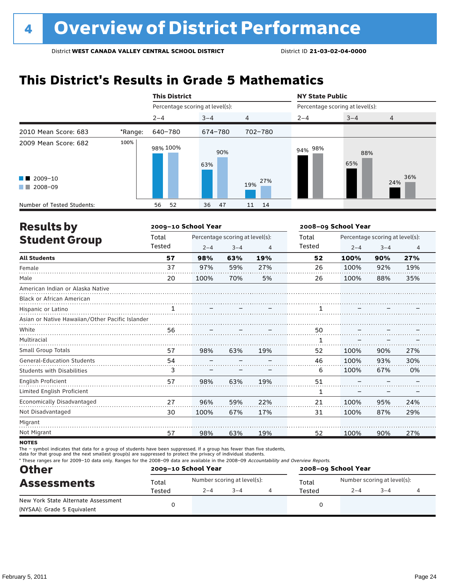# **This District's Results in Grade 5 Mathematics**

|                                                                                                                                                                                                                                                                           |         | <b>This District</b>            |            |            | <b>NY State Public</b>          |            |                |  |
|---------------------------------------------------------------------------------------------------------------------------------------------------------------------------------------------------------------------------------------------------------------------------|---------|---------------------------------|------------|------------|---------------------------------|------------|----------------|--|
|                                                                                                                                                                                                                                                                           |         | Percentage scoring at level(s): |            |            | Percentage scoring at level(s): |            |                |  |
|                                                                                                                                                                                                                                                                           |         | $2 - 4$                         | $3 - 4$    | 4          | $2 - 4$                         | $3 - 4$    | $\overline{4}$ |  |
| 2010 Mean Score: 683                                                                                                                                                                                                                                                      | *Range: | 640-780                         | 674-780    | 702-780    |                                 |            |                |  |
| 2009 Mean Score: 682                                                                                                                                                                                                                                                      | 100%    | 98% 100%                        | 90%<br>63% |            | 94% 98%                         | 88%<br>65% |                |  |
| $\blacksquare$ 2009-10<br>2008-09<br><b>The Contract of the Contract of the Contract of the Contract of the Contract of the Contract of the Contract of the Contract of the Contract of the Contract of the Contract of the Contract of The Contract of The Contract </b> |         |                                 |            | 27%<br>19% |                                 |            | 36%<br>24%     |  |
| Number of Tested Students:                                                                                                                                                                                                                                                |         | 52<br>56                        | 36<br>47   | 14<br>11   |                                 |            |                |  |

| <b>Results by</b>                               |        | 2009-10 School Year |                                 |     | 2008-09 School Year |         |                                 |     |  |
|-------------------------------------------------|--------|---------------------|---------------------------------|-----|---------------------|---------|---------------------------------|-----|--|
| <b>Student Group</b>                            | Total  |                     | Percentage scoring at level(s): |     | Total               |         | Percentage scoring at level(s): |     |  |
|                                                 | Tested | $2 - 4$             | $3 - 4$                         | 4   | Tested              | $2 - 4$ | $3 - 4$                         | 4   |  |
| <b>All Students</b>                             | 57     | 98%                 | 63%                             | 19% | 52                  | 100%    | 90%                             | 27% |  |
| Female                                          | 37     | 97%                 | 59%                             | 27% | 26                  | 100%    | 92%                             | 19% |  |
| Male                                            | 20     | 100%                | 70%                             | 5%  | 26                  | 100%    | 88%                             | 35% |  |
| American Indian or Alaska Native                |        |                     |                                 |     |                     |         |                                 |     |  |
| <b>Black or African American</b>                |        |                     |                                 |     |                     |         |                                 |     |  |
| Hispanic or Latino                              | 1      |                     |                                 |     |                     |         |                                 |     |  |
| Asian or Native Hawaiian/Other Pacific Islander |        |                     |                                 |     |                     |         |                                 |     |  |
| White                                           | 56     |                     |                                 |     | 50                  |         |                                 |     |  |
| Multiracial                                     |        |                     |                                 |     | 1                   |         |                                 |     |  |
| <b>Small Group Totals</b>                       | 57     | 98%                 | 63%                             | 19% | 52                  | 100%    | 90%                             | 27% |  |
| <b>General-Education Students</b>               | 54     |                     |                                 |     | 46                  | 100%    | 93%                             | 30% |  |
| <b>Students with Disabilities</b>               | 3      |                     |                                 |     | 6                   | 100%    | 67%                             | 0%  |  |
| <b>English Proficient</b>                       | 57     | 98%                 | 63%                             | 19% | 51                  |         |                                 |     |  |
| Limited English Proficient                      |        |                     |                                 |     | 1                   |         |                                 |     |  |
| Economically Disadvantaged                      | 27     | 96%                 | 59%                             | 22% | 21                  | 100%    | 95%                             | 24% |  |
| Not Disadvantaged                               | 30     | 100%                | 67%                             | 17% | 31                  | 100%    | 87%                             | 29% |  |
| Migrant                                         |        |                     |                                 |     |                     |         |                                 |     |  |
| Not Migrant                                     | 57     | 98%                 | 63%                             | 19% | 52                  | 100%    | 90%                             | 27% |  |

**NOTES** 

The – symbol indicates that data for a group of students have been suppressed. If a group has fewer than five students,

data for that group and the next smallest group(s) are suppressed to protect the privacy of individual students.

\* These ranges are for 2009–10 data only. Ranges for the 2008–09 data are available in the 2008–09 Accountability and Overview Reports.

| <b>Other</b>                                                       |        | 2009-10 School Year |                             | 2008-09 School Year |                             |      |  |  |
|--------------------------------------------------------------------|--------|---------------------|-----------------------------|---------------------|-----------------------------|------|--|--|
| <b>Assessments</b>                                                 | Total  |                     | Number scoring at level(s): | Total               | Number scoring at level(s): |      |  |  |
|                                                                    | Tested | $2 - 4$             | $3 - 4$                     | Tested              | $2 - 4$                     | $-4$ |  |  |
| New York State Alternate Assessment<br>(NYSAA): Grade 5 Equivalent |        |                     |                             |                     |                             |      |  |  |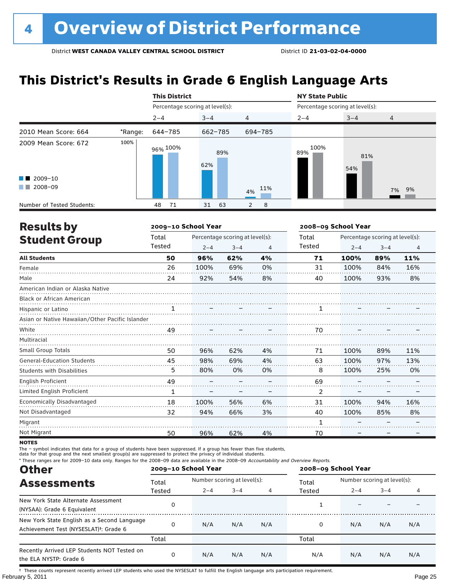# **This District's Results in Grade 6 English Language Arts**

|                            |         | <b>This District</b>            |            |                | <b>NY State Public</b>          |            |                |  |
|----------------------------|---------|---------------------------------|------------|----------------|---------------------------------|------------|----------------|--|
|                            |         | Percentage scoring at level(s): |            |                | Percentage scoring at level(s): |            |                |  |
|                            |         | $2 - 4$                         | $3 - 4$    | $\overline{4}$ | $2 - 4$                         | $3 - 4$    | $\overline{4}$ |  |
| 2010 Mean Score: 664       | *Range: | 644-785                         | 662-785    | 694-785        |                                 |            |                |  |
| 2009 Mean Score: 672       | 100%    | 96% <sup>100%</sup>             | 89%<br>62% |                | 100%<br>89%                     | 81%<br>54% |                |  |
| $\blacksquare$ 2009-10     |         |                                 |            |                |                                 |            |                |  |
| 2008-09<br>. .             |         |                                 |            | 11%<br>4%      |                                 |            | 7% 9%          |  |
| Number of Tested Students: |         | 71<br>48                        | 63<br>31   | 8<br>2         |                                 |            |                |  |

| <b>Results by</b>                               |              | 2009-10 School Year |                                 |                | 2008-09 School Year |         |                                 |     |  |
|-------------------------------------------------|--------------|---------------------|---------------------------------|----------------|---------------------|---------|---------------------------------|-----|--|
| <b>Student Group</b>                            | Total        |                     | Percentage scoring at level(s): |                | Total               |         | Percentage scoring at level(s): |     |  |
|                                                 | Tested       | $2 - 4$             | $3 - 4$                         | $\overline{4}$ | Tested              | $2 - 4$ | $3 - 4$                         | 4   |  |
| <b>All Students</b>                             | 50           | 96%                 | 62%                             | 4%             | 71                  | 100%    | 89%                             | 11% |  |
| Female                                          | 26           | 100%                | 69%                             | 0%             | 31                  | 100%    | 84%                             | 16% |  |
| Male                                            | 24           | 92%                 | 54%                             | 8%             | 40                  | 100%    | 93%                             | 8%  |  |
| American Indian or Alaska Native                |              |                     |                                 |                |                     |         |                                 |     |  |
| <b>Black or African American</b>                |              |                     |                                 |                |                     |         |                                 |     |  |
| Hispanic or Latino                              | $\mathbf{1}$ |                     |                                 |                | 1                   |         |                                 |     |  |
| Asian or Native Hawaiian/Other Pacific Islander |              |                     |                                 |                |                     |         |                                 |     |  |
| White                                           | 49           |                     |                                 |                | 70                  |         |                                 |     |  |
| Multiracial                                     |              |                     |                                 |                |                     |         |                                 |     |  |
| Small Group Totals                              | 50           | 96%                 | 62%                             | 4%             | 71                  | 100%    | 89%                             | 11% |  |
| <b>General-Education Students</b>               | 45           | 98%                 | 69%                             | 4%             | 63                  | 100%    | 97%                             | 13% |  |
| <b>Students with Disabilities</b>               | 5            | 80%                 | 0%                              | 0%             | 8                   | 100%    | 25%                             | 0%  |  |
| <b>English Proficient</b>                       | 49           |                     |                                 |                | 69                  |         |                                 |     |  |
| Limited English Proficient                      | 1            |                     |                                 |                | 2                   |         |                                 |     |  |
| Economically Disadvantaged                      | 18           | 100%                | 56%                             | 6%             | 31                  | 100%    | 94%                             | 16% |  |
| Not Disadvantaged                               | 32           | 94%                 | 66%                             | 3%             | 40                  | 100%    | 85%                             | 8%  |  |
| Migrant                                         |              |                     |                                 |                | 1                   |         |                                 |     |  |
| Not Migrant                                     | 50           | 96%                 | 62%                             | 4%             | 70                  |         |                                 |     |  |

**NOTES** 

The – symbol indicates that data for a group of students have been suppressed. If a group has fewer than five students,

data for that group and the next smallest group(s) are suppressed to protect the privacy of individual students.

\* These ranges are for 2009–10 data only. Ranges for the 2008–09 data are available in the 2008–09 Accountability and Overview Reports.

| <b>Other</b>                                                                                      |        | 2009-10 School Year |                             |     | 2008-09 School Year |                             |         |     |  |
|---------------------------------------------------------------------------------------------------|--------|---------------------|-----------------------------|-----|---------------------|-----------------------------|---------|-----|--|
| <b>Assessments</b>                                                                                | Total  |                     | Number scoring at level(s): |     |                     | Number scoring at level(s): |         |     |  |
|                                                                                                   | Tested | $2 - 4$             | $3 - 4$                     | 4   | Tested              | $2 - 4$                     | $3 - 4$ | 4   |  |
| New York State Alternate Assessment<br>(NYSAA): Grade 6 Equivalent                                |        |                     |                             |     |                     |                             |         |     |  |
| New York State English as a Second Language<br>Achievement Test (NYSESLAT) <sup>t</sup> : Grade 6 |        | N/A                 | N/A                         | N/A | 0                   | N/A                         | N/A     | N/A |  |
|                                                                                                   | Total  |                     |                             |     | Total               |                             |         |     |  |
| Recently Arrived LEP Students NOT Tested on<br>the ELA NYSTP: Grade 6                             |        | N/A                 | N/A                         | N/A | N/A                 | N/A                         | N/A     | N/A |  |

February 5, 2011 Page 25 † These counts represent recently arrived LEP students who used the NYSESLAT to fulfill the English language arts participation requirement.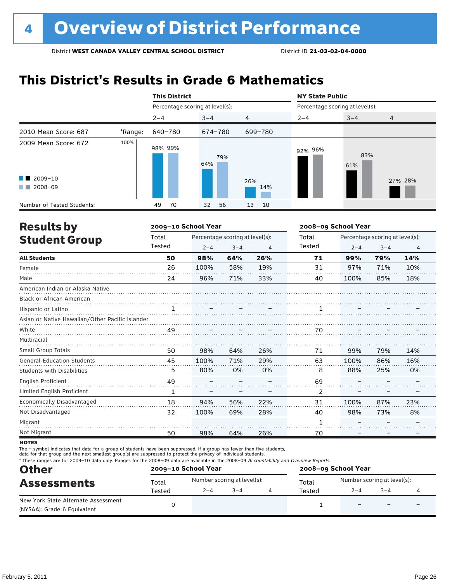# **This District's Results in Grade 6 Mathematics**

|                            |         | <b>This District</b>            |                       |                | <b>NY State Public</b>          |            |                |  |
|----------------------------|---------|---------------------------------|-----------------------|----------------|---------------------------------|------------|----------------|--|
|                            |         | Percentage scoring at level(s): |                       |                | Percentage scoring at level(s): |            |                |  |
|                            |         | $2 - 4$                         | $3 - 4$               | $\overline{4}$ | $2 - 4$                         | $3 - 4$    | $\overline{4}$ |  |
| 2010 Mean Score: 687       | *Range: | 640-780                         | 674-780               | 699-780        |                                 |            |                |  |
| 2009 Mean Score: 672       | 100%    | 98% 99%                         | 79%<br>64%            |                | 92% 96%                         | 83%<br>61% |                |  |
| $\blacksquare$ 2009-10     |         |                                 |                       | 26%            |                                 |            | 27% 28%        |  |
| 2008-09<br>a kacamatan     |         |                                 |                       | 14%            |                                 |            |                |  |
| Number of Tested Students: |         | 70<br>49                        | 32 <sup>2</sup><br>56 | 13<br>10       |                                 |            |                |  |

| <b>Results by</b>                               |              | 2009-10 School Year |                                 |     | 2008-09 School Year |                                 |         |                |
|-------------------------------------------------|--------------|---------------------|---------------------------------|-----|---------------------|---------------------------------|---------|----------------|
| <b>Student Group</b>                            | Total        |                     | Percentage scoring at level(s): |     | Total               | Percentage scoring at level(s): |         |                |
|                                                 | Tested       | $2 - 4$             | $3 - 4$                         | 4   | Tested              | $2 - 4$                         | $3 - 4$ | $\overline{4}$ |
| <b>All Students</b>                             | 50           | 98%                 | 64%                             | 26% | 71                  | 99%                             | 79%     | 14%            |
| Female                                          | 26           | 100%                | 58%                             | 19% | 31                  | 97%                             | 71%     | 10%            |
| Male                                            | 24           | 96%                 | 71%                             | 33% | 40                  | 100%                            | 85%     | 18%            |
| American Indian or Alaska Native                |              |                     |                                 |     |                     |                                 |         |                |
| Black or African American                       |              |                     |                                 |     |                     |                                 |         |                |
| Hispanic or Latino                              | $\mathbf{1}$ |                     |                                 |     | 1                   |                                 |         |                |
| Asian or Native Hawaiian/Other Pacific Islander |              |                     |                                 |     |                     |                                 |         |                |
| White                                           | 49           |                     |                                 |     | 70                  |                                 |         |                |
| Multiracial                                     |              |                     |                                 |     |                     |                                 |         |                |
| <b>Small Group Totals</b>                       | 50           | 98%                 | 64%                             | 26% | 71                  | 99%                             | 79%     | 14%            |
| <b>General-Education Students</b>               | 45           | 100%                | 71%                             | 29% | 63                  | 100%                            | 86%     | 16%            |
| <b>Students with Disabilities</b>               | 5            | 80%                 | 0%                              | 0%  | 8                   | 88%                             | 25%     | 0%             |
| English Proficient                              | 49           |                     |                                 |     | 69                  |                                 |         |                |
| Limited English Proficient                      | 1            |                     |                                 |     | 2                   |                                 |         |                |
| Economically Disadvantaged                      | 18           | 94%                 | 56%                             | 22% | 31                  | 100%                            | 87%     | 23%            |
| Not Disadvantaged                               | 32           | 100%                | 69%                             | 28% | 40                  | 98%                             | 73%     | 8%             |
| Migrant                                         |              |                     |                                 |     | 1                   |                                 |         |                |
| Not Migrant                                     | 50           | 98%                 | 64%                             | 26% | 70                  |                                 |         |                |

**NOTES** 

The – symbol indicates that data for a group of students have been suppressed. If a group has fewer than five students,

data for that group and the next smallest group(s) are suppressed to protect the privacy of individual students.

\* These ranges are for 2009–10 data only. Ranges for the 2008–09 data are available in the 2008–09 Accountability and Overview Reports.

| <b>Other</b>                        |        | 2009-10 School Year |                             | 2008-09 School Year |                             |                          |                          |  |
|-------------------------------------|--------|---------------------|-----------------------------|---------------------|-----------------------------|--------------------------|--------------------------|--|
| <b>Assessments</b>                  | Total  |                     | Number scoring at level(s): | Total               | Number scoring at level(s): |                          |                          |  |
|                                     | Tested | $2 - 4$             | $3 - 4$                     | Tested              | $2 - 4$                     | $3 - 4$                  |                          |  |
| New York State Alternate Assessment |        |                     |                             |                     |                             | $\overline{\phantom{0}}$ | $\overline{\phantom{0}}$ |  |
| (NYSAA): Grade 6 Equivalent         |        |                     |                             |                     |                             |                          |                          |  |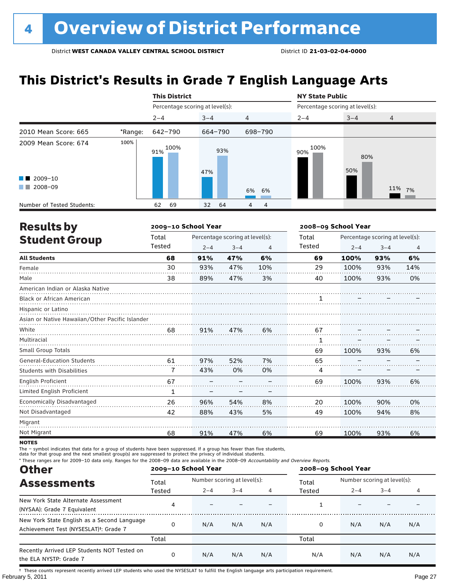# **This District's Results in Grade 7 English Language Arts**

|                                                                                                                                                                                                                                                                                                   |         | <b>This District</b>            |            |                | <b>NY State Public</b>          |            |                |  |  |
|---------------------------------------------------------------------------------------------------------------------------------------------------------------------------------------------------------------------------------------------------------------------------------------------------|---------|---------------------------------|------------|----------------|---------------------------------|------------|----------------|--|--|
|                                                                                                                                                                                                                                                                                                   |         | Percentage scoring at level(s): |            |                | Percentage scoring at level(s): |            |                |  |  |
|                                                                                                                                                                                                                                                                                                   |         | $2 - 4$                         | $3 - 4$    | $\overline{4}$ | $2 - 4$                         | $3 - 4$    | $\overline{4}$ |  |  |
| 2010 Mean Score: 665                                                                                                                                                                                                                                                                              | *Range: | 642-790                         | 664-790    | 698-790        |                                 |            |                |  |  |
| 2009 Mean Score: 674<br>$\blacksquare$ 2009-10<br>2008-09<br><b>The Contract of the Contract of the Contract of the Contract of the Contract of the Contract of the Contract of the Contract of the Contract of the Contract of the Contract of the Contract of The Contract of The Contract </b> | 100%    | 100%<br>91%                     | 93%<br>47% | 6% 6%          | 100%<br>90%                     | 80%<br>50% | 11% 7%         |  |  |
| Number of Tested Students:                                                                                                                                                                                                                                                                        |         | 69<br>62                        | 64<br>32   | 4<br>4         |                                 |            |                |  |  |

| <b>Results by</b>                               |        | 2009-10 School Year |                                 | 2008-09 School Year |        |                                 |         |                |  |
|-------------------------------------------------|--------|---------------------|---------------------------------|---------------------|--------|---------------------------------|---------|----------------|--|
| <b>Student Group</b>                            | Total  |                     | Percentage scoring at level(s): |                     | Total  | Percentage scoring at level(s): |         |                |  |
|                                                 | Tested | $2 - 4$             | $3 - 4$                         | 4                   | Tested | $2 - 4$                         | $3 - 4$ | $\overline{4}$ |  |
| <b>All Students</b>                             | 68     | 91%                 | 47%                             | 6%                  | 69     | 100%                            | 93%     | 6%             |  |
| Female                                          | 30     | 93%                 | 47%                             | 10%                 | 29     | 100%                            | 93%     | 14%            |  |
| Male                                            | 38     | 89%                 | 47%                             | 3%                  | 40     | 100%                            | 93%     | 0%             |  |
| American Indian or Alaska Native                |        |                     |                                 |                     |        |                                 |         |                |  |
| <b>Black or African American</b>                |        |                     |                                 |                     | 1      |                                 |         |                |  |
| Hispanic or Latino                              |        |                     |                                 |                     |        |                                 |         |                |  |
| Asian or Native Hawaiian/Other Pacific Islander |        |                     |                                 |                     |        |                                 |         |                |  |
| White                                           | 68     | 91%                 | 47%                             | 6%                  | 67     |                                 |         |                |  |
| Multiracial                                     |        |                     |                                 |                     | 1      |                                 |         |                |  |
| <b>Small Group Totals</b>                       |        |                     |                                 |                     | 69     | 100%                            | 93%     | 6%             |  |
| <b>General-Education Students</b>               | 61     | 97%                 | 52%                             | 7%                  | 65     |                                 |         |                |  |
| <b>Students with Disabilities</b>               | 7      | 43%                 | 0%                              | 0%                  | 4      |                                 |         |                |  |
| English Proficient                              | 67     |                     |                                 |                     | 69     | 100%                            | 93%     | 6%             |  |
| Limited English Proficient                      | 1      |                     |                                 |                     |        |                                 |         |                |  |
| Economically Disadvantaged                      | 26     | 96%                 | 54%                             | 8%                  | 20     | 100%                            | 90%     | 0%             |  |
| Not Disadvantaged                               | 42     | 88%                 | 43%                             | 5%                  | 49     | 100%                            | 94%     | 8%             |  |
| Migrant                                         |        |                     |                                 |                     |        |                                 |         |                |  |
| Not Migrant                                     | 68     | 91%                 | 47%                             | 6%                  | 69     | 100%                            | 93%     | 6%             |  |

**NOTES** 

The – symbol indicates that data for a group of students have been suppressed. If a group has fewer than five students,

data for that group and the next smallest group(s) are suppressed to protect the privacy of individual students.

\* These ranges are for 2009–10 data only. Ranges for the 2008–09 data are available in the 2008–09 Accountability and Overview Reports.

| <b>Other</b>                                                                                      |        | 2009-10 School Year |                             |     | 2008-09 School Year |                             |         |     |
|---------------------------------------------------------------------------------------------------|--------|---------------------|-----------------------------|-----|---------------------|-----------------------------|---------|-----|
| <b>Assessments</b>                                                                                | Total  |                     | Number scoring at level(s): |     |                     | Number scoring at level(s): |         |     |
|                                                                                                   | Tested | $2 - 4$             | $3 - 4$                     | 4   | Tested              | $2 - 4$                     | $3 - 4$ | 4   |
| New York State Alternate Assessment<br>(NYSAA): Grade 7 Equivalent                                | 4      |                     |                             |     |                     |                             |         |     |
| New York State English as a Second Language<br>Achievement Test (NYSESLAT) <sup>+</sup> : Grade 7 |        | N/A                 | N/A                         | N/A | 0                   | N/A                         | N/A     | N/A |
|                                                                                                   | Total  |                     |                             |     | Total               |                             |         |     |
| Recently Arrived LEP Students NOT Tested on<br>the ELA NYSTP: Grade 7                             |        | N/A                 | N/A                         | N/A | N/A                 | N/A                         | N/A     | N/A |

February 5, 2011 Page 27 † These counts represent recently arrived LEP students who used the NYSESLAT to fulfill the English language arts participation requirement.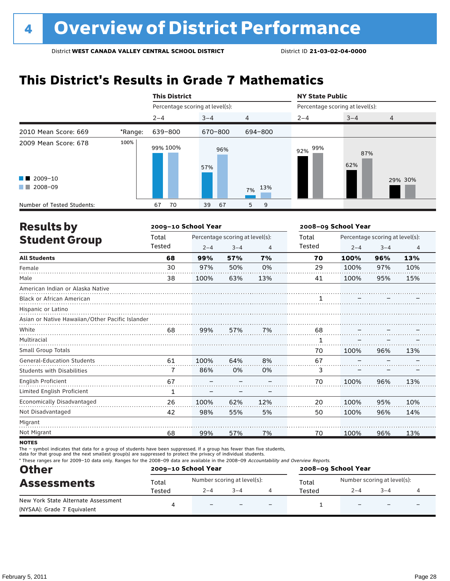# **This District's Results in Grade 7 Mathematics**

|                                                                                                                                                                                                                                                 |         | <b>This District</b>            |            |           | <b>NY State Public</b>          |            |         |  |
|-------------------------------------------------------------------------------------------------------------------------------------------------------------------------------------------------------------------------------------------------|---------|---------------------------------|------------|-----------|---------------------------------|------------|---------|--|
|                                                                                                                                                                                                                                                 |         | Percentage scoring at level(s): |            |           | Percentage scoring at level(s): |            |         |  |
|                                                                                                                                                                                                                                                 |         | $2 - 4$                         | $3 - 4$    | 4         | $2 - 4$                         | $3 - 4$    | 4       |  |
| 2010 Mean Score: 669                                                                                                                                                                                                                            | *Range: | 639-800                         | 670-800    | 694-800   |                                 |            |         |  |
| 2009 Mean Score: 678                                                                                                                                                                                                                            | 100%    | 99% 100%                        | 96%<br>57% |           | 99%<br>92%                      | 87%<br>62% |         |  |
| $\blacksquare$ 2009-10                                                                                                                                                                                                                          |         |                                 |            |           |                                 |            | 29% 30% |  |
| 2008-09<br><b>The Contract of the Contract of the Contract of the Contract of the Contract of the Contract of the Contract of the Contract of the Contract of the Contract of the Contract of the Contract of The Contract of The Contract </b> |         |                                 |            | 13%<br>7% |                                 |            |         |  |
| Number of Tested Students:                                                                                                                                                                                                                      |         | 70<br>67                        | 39<br>67   | 5<br>9    |                                 |            |         |  |

| <b>Results by</b>                               |        | 2009-10 School Year |                                 | 2008-09 School Year |        |                                 |         |                |
|-------------------------------------------------|--------|---------------------|---------------------------------|---------------------|--------|---------------------------------|---------|----------------|
| <b>Student Group</b>                            | Total  |                     | Percentage scoring at level(s): |                     | Total  | Percentage scoring at level(s): |         |                |
|                                                 | Tested | $2 - 4$             | $3 - 4$                         | $\overline{4}$      | Tested | $2 - 4$                         | $3 - 4$ | $\overline{4}$ |
| <b>All Students</b>                             | 68     | 99%                 | 57%                             | 7%                  | 70     | 100%                            | 96%     | 13%            |
| Female                                          | 30     | 97%                 | 50%                             | 0%                  | 29     | 100%                            | 97%     | 10%            |
| Male                                            | 38     | 100%                | 63%                             | 13%                 | 41     | 100%                            | 95%     | 15%            |
| American Indian or Alaska Native                |        |                     |                                 |                     |        |                                 |         |                |
| <b>Black or African American</b>                |        |                     |                                 |                     |        |                                 |         |                |
| Hispanic or Latino                              |        |                     |                                 |                     |        |                                 |         |                |
| Asian or Native Hawaiian/Other Pacific Islander |        |                     |                                 |                     |        |                                 |         |                |
| White                                           | 68     | 99%                 | 57%                             | 7%                  | 68     |                                 |         |                |
| Multiracial                                     |        |                     |                                 |                     | 1      |                                 |         |                |
| Small Group Totals                              |        |                     |                                 |                     | 70     | 100%                            | 96%     | 13%            |
| <b>General-Education Students</b>               | 61     | 100%                | 64%                             | 8%                  | 67     |                                 |         |                |
| <b>Students with Disabilities</b>               | 7      | 86%                 | 0%                              | 0%                  | 3      |                                 |         |                |
| English Proficient                              | 67     |                     |                                 |                     | 70     | 100%                            | 96%     | 13%            |
| Limited English Proficient                      | 1      |                     |                                 |                     |        |                                 |         |                |
| Economically Disadvantaged                      | 26     | 100%                | 62%                             | 12%                 | 20     | 100%                            | 95%     | 10%            |
| Not Disadvantaged                               | 42     | 98%                 | 55%                             | 5%                  | 50     | 100%                            | 96%     | 14%            |
| Migrant                                         |        |                     |                                 |                     |        |                                 |         |                |
| Not Migrant                                     | 68     | 99%                 | 57%                             | 7%                  | 70     | 100%                            | 96%     | 13%            |
|                                                 |        |                     |                                 |                     |        |                                 |         |                |

**NOTES** 

The – symbol indicates that data for a group of students have been suppressed. If a group has fewer than five students,

data for that group and the next smallest group(s) are suppressed to protect the privacy of individual students.

\* These ranges are for 2009–10 data only. Ranges for the 2008–09 data are available in the 2008–09 Accountability and Overview Reports.

| <b>Other</b>                        |        | 2009-10 School Year          |         | 2008-09 School Year |                             |         |  |  |
|-------------------------------------|--------|------------------------------|---------|---------------------|-----------------------------|---------|--|--|
| <b>Assessments</b>                  | Total  | Number scoring at level(s):  |         | Total               | Number scoring at level(s): |         |  |  |
|                                     | Tested | $2 - 4$                      | $3 - 4$ | Tested              | $2 - 4$                     | $3 - 4$ |  |  |
| New York State Alternate Assessment |        | $\qquad \qquad \blacksquare$ |         |                     |                             |         |  |  |
| (NYSAA): Grade 7 Equivalent         |        |                              |         |                     |                             |         |  |  |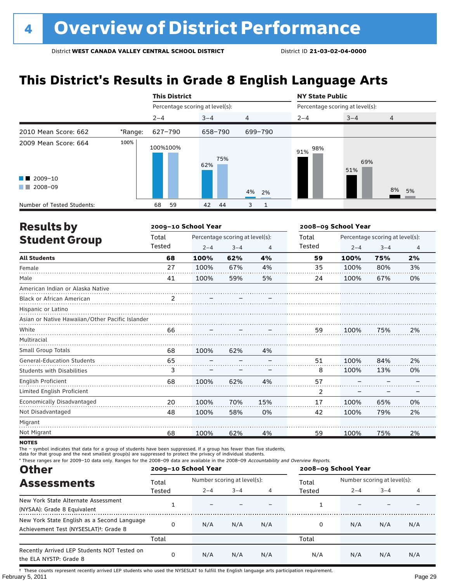# **This District's Results in Grade 8 English Language Arts**

|                                                                                                                                                                                                                                                                                                   |         | <b>This District</b>            |            |                   | <b>NY State Public</b>          |            |                |  |
|---------------------------------------------------------------------------------------------------------------------------------------------------------------------------------------------------------------------------------------------------------------------------------------------------|---------|---------------------------------|------------|-------------------|---------------------------------|------------|----------------|--|
|                                                                                                                                                                                                                                                                                                   |         | Percentage scoring at level(s): |            |                   | Percentage scoring at level(s): |            |                |  |
|                                                                                                                                                                                                                                                                                                   |         | $2 - 4$                         | $3 - 4$    | $\overline{4}$    | $2 - 4$                         | $3 - 4$    | $\overline{4}$ |  |
| 2010 Mean Score: 662                                                                                                                                                                                                                                                                              | *Range: | 627-790                         | 658-790    | 699-790           |                                 |            |                |  |
| 2009 Mean Score: 664<br>$\blacksquare$ 2009-10<br>2008-09<br><b>The Contract of the Contract of the Contract of the Contract of the Contract of the Contract of the Contract of the Contract of the Contract of the Contract of the Contract of the Contract of The Contract of The Contract </b> | 100%    | 100%100%                        | 75%<br>62% |                   | 98%<br>91%                      | 69%<br>51% |                |  |
|                                                                                                                                                                                                                                                                                                   |         |                                 |            | 4%<br>2%          |                                 |            | 8%<br>5%       |  |
| Number of Tested Students:                                                                                                                                                                                                                                                                        |         | 59<br>68                        | 44<br>42   | 3<br>$\mathbf{1}$ |                                 |            |                |  |

| <b>Results by</b>                               |                | 2009-10 School Year |                                 |     | 2008-09 School Year |                                 |         |                |  |
|-------------------------------------------------|----------------|---------------------|---------------------------------|-----|---------------------|---------------------------------|---------|----------------|--|
| <b>Student Group</b>                            | Total          |                     | Percentage scoring at level(s): |     | Total               | Percentage scoring at level(s): |         |                |  |
|                                                 | Tested         | $2 - 4$             | $3 - 4$                         | 4   | Tested              | $2 - 4$                         | $3 - 4$ | $\overline{4}$ |  |
| <b>All Students</b>                             | 68             | 100%                | 62%                             | 4%  | 59                  | 100%                            | 75%     | 2%             |  |
| Female                                          | 27             | 100%                | 67%                             | 4%  | 35                  | 100%                            | 80%     | 3%             |  |
| Male                                            | 41             | 100%                | 59%                             | 5%  | 24                  | 100%                            | 67%     | 0%             |  |
| American Indian or Alaska Native                |                |                     |                                 |     |                     |                                 |         |                |  |
| <b>Black or African American</b>                | $\mathfrak{p}$ |                     |                                 |     |                     |                                 |         |                |  |
| Hispanic or Latino                              |                |                     |                                 |     |                     |                                 |         |                |  |
| Asian or Native Hawaiian/Other Pacific Islander |                |                     |                                 |     |                     |                                 |         |                |  |
| White                                           | 66             |                     |                                 |     | 59                  | 100%                            | 75%     | 2%             |  |
| Multiracial                                     |                |                     |                                 |     |                     |                                 |         |                |  |
| <b>Small Group Totals</b>                       | 68             | 100%                | 62%                             | 4%  |                     |                                 |         |                |  |
| <b>General-Education Students</b>               | 65             |                     |                                 |     | 51                  | 100%                            | 84%     | 2%             |  |
| <b>Students with Disabilities</b>               | 3              |                     |                                 |     | 8                   | 100%                            | 13%     | 0%             |  |
| <b>English Proficient</b>                       | 68             | 100%                | 62%                             | 4%  | 57                  |                                 |         |                |  |
| Limited English Proficient                      |                |                     |                                 |     | 2                   |                                 |         |                |  |
| Economically Disadvantaged                      | 20             | 100%                | 70%                             | 15% | 17                  | 100%                            | 65%     | 0%             |  |
| Not Disadvantaged                               | 48             | 100%                | 58%                             | 0%  | 42                  | 100%                            | 79%     | 2%             |  |
| Migrant                                         |                |                     |                                 |     |                     |                                 |         |                |  |
| Not Migrant                                     | 68             | 100%                | 62%                             | 4%  | 59                  | 100%                            | 75%     | 2%             |  |

**NOTES** 

The – symbol indicates that data for a group of students have been suppressed. If a group has fewer than five students,

data for that group and the next smallest group(s) are suppressed to protect the privacy of individual students.

\* These ranges are for 2009–10 data only. Ranges for the 2008–09 data are available in the 2008–09 Accountability and Overview Reports.

| <b>Other</b>                                                                                      |        | 2009-10 School Year |                             |     | 2008-09 School Year |                             |         |     |
|---------------------------------------------------------------------------------------------------|--------|---------------------|-----------------------------|-----|---------------------|-----------------------------|---------|-----|
| <b>Assessments</b>                                                                                | Total  |                     | Number scoring at level(s): |     |                     | Number scoring at level(s): |         |     |
|                                                                                                   | Tested | $2 - 4$             | $3 - 4$                     |     | Tested              | $2 - 4$                     | $3 - 4$ | 4   |
| New York State Alternate Assessment<br>(NYSAA): Grade 8 Equivalent                                |        |                     |                             |     |                     |                             |         |     |
| New York State English as a Second Language<br>Achievement Test (NYSESLAT) <sup>+</sup> : Grade 8 |        | N/A                 | N/A                         | N/A | 0                   | N/A                         | N/A     | N/A |
|                                                                                                   | Total  |                     |                             |     | Total               |                             |         |     |
| Recently Arrived LEP Students NOT Tested on<br>the ELA NYSTP: Grade 8                             |        | N/A                 | N/A                         | N/A | N/A                 | N/A                         | N/A     | N/A |

February 5, 2011 Page 29 † These counts represent recently arrived LEP students who used the NYSESLAT to fulfill the English language arts participation requirement.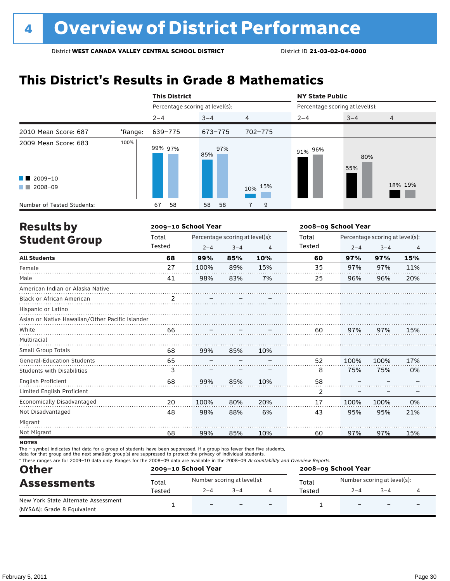# **This District's Results in Grade 8 Mathematics**

|                             |         | <b>This District</b>            |            |                | <b>NY State Public</b>          |            |                |  |
|-----------------------------|---------|---------------------------------|------------|----------------|---------------------------------|------------|----------------|--|
|                             |         | Percentage scoring at level(s): |            |                | Percentage scoring at level(s): |            |                |  |
|                             |         | $2 - 4$                         | $3 - 4$    | $\overline{4}$ | $2 - 4$                         | $3 - 4$    | $\overline{4}$ |  |
| 2010 Mean Score: 687        | *Range: | 639-775                         | 673-775    | 702-775        |                                 |            |                |  |
| 2009 Mean Score: 683        | 100%    | 99% 97%                         | 97%<br>85% |                | 91% 96%                         | 80%<br>55% |                |  |
| $\blacksquare$ 2009-10      |         |                                 |            |                |                                 |            |                |  |
| 2008-09<br><b>The State</b> |         |                                 |            | 10% 15%        |                                 |            | 18% 19%        |  |
| Number of Tested Students:  |         | 58<br>67                        | 58<br>58   | 9              |                                 |            |                |  |

| <b>Results by</b>                               |                | 2009-10 School Year |                                 |     | 2008-09 School Year |                                 |         |                |  |
|-------------------------------------------------|----------------|---------------------|---------------------------------|-----|---------------------|---------------------------------|---------|----------------|--|
| <b>Student Group</b>                            | Total          |                     | Percentage scoring at level(s): |     |                     | Percentage scoring at level(s): |         |                |  |
|                                                 | Tested         | $2 - 4$             | $3 - 4$                         | 4   | Tested              | $2 - 4$                         | $3 - 4$ | $\overline{4}$ |  |
| <b>All Students</b>                             | 68             | 99%                 | 85%                             | 10% | 60                  | 97%                             | 97%     | 15%            |  |
| Female                                          | 27             | 100%                | 89%                             | 15% | 35                  | 97%                             | 97%     | 11%            |  |
| Male                                            | 41             | 98%                 | 83%                             | 7%  | 25                  | 96%                             | 96%     | 20%            |  |
| American Indian or Alaska Native                |                |                     |                                 |     |                     |                                 |         |                |  |
| <b>Black or African American</b>                | $\mathfrak{p}$ |                     |                                 |     |                     |                                 |         |                |  |
| Hispanic or Latino                              |                |                     |                                 |     |                     |                                 |         |                |  |
| Asian or Native Hawaiian/Other Pacific Islander |                |                     |                                 |     |                     |                                 |         |                |  |
| White                                           | 66             |                     |                                 |     | 60                  | 97%                             | 97%     | 15%            |  |
| Multiracial                                     |                |                     |                                 |     |                     |                                 |         |                |  |
| <b>Small Group Totals</b>                       | 68             | 99%                 | 85%                             | 10% |                     |                                 |         |                |  |
| <b>General-Education Students</b>               | 65             |                     |                                 |     | 52                  | 100%                            | 100%    | 17%            |  |
| <b>Students with Disabilities</b>               | 3              |                     |                                 |     | 8                   | 75%                             | 75%     | 0%             |  |
| <b>English Proficient</b>                       | 68             | 99%                 | 85%                             | 10% | 58                  |                                 |         |                |  |
| Limited English Proficient                      |                |                     |                                 |     | 2                   |                                 |         |                |  |
| Economically Disadvantaged                      | 20             | 100%                | 80%                             | 20% | 17                  | 100%                            | 100%    | 0%             |  |
| Not Disadvantaged                               | 48             | 98%                 | 88%                             | 6%  | 43                  | 95%                             | 95%     | 21%            |  |
| Migrant                                         |                |                     |                                 |     |                     |                                 |         |                |  |
| Not Migrant                                     | 68             | 99%                 | 85%                             | 10% | 60                  | 97%                             | 97%     | 15%            |  |

**NOTES** 

The – symbol indicates that data for a group of students have been suppressed. If a group has fewer than five students,

data for that group and the next smallest group(s) are suppressed to protect the privacy of individual students.

\* These ranges are for 2009–10 data only. Ranges for the 2008–09 data are available in the 2008–09 Accountability and Overview Reports.

| <b>Other</b><br><b>Assessments</b>  |        | 2009-10 School Year         |         |                          | 2008-09 School Year |                             |         |  |  |
|-------------------------------------|--------|-----------------------------|---------|--------------------------|---------------------|-----------------------------|---------|--|--|
|                                     | Total  | Number scoring at level(s): |         |                          | Total               | Number scoring at level(s): |         |  |  |
|                                     | Tested | $2 - 4$                     | $3 - 4$ |                          | Tested              | $2 - 4$                     | $3 - 4$ |  |  |
| New York State Alternate Assessment |        | $\overline{\phantom{0}}$    |         | $\overline{\phantom{0}}$ |                     |                             |         |  |  |
| (NYSAA): Grade 8 Equivalent         |        |                             |         |                          |                     |                             |         |  |  |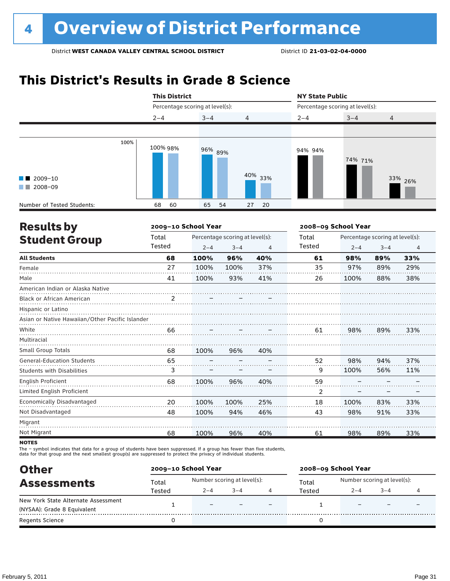# **This District's Results in Grade 8 Science**



| <b>Results by</b>                               |                | 2009-10 School Year |                                 |     | 2008-09 School Year |                                 |         |                |  |
|-------------------------------------------------|----------------|---------------------|---------------------------------|-----|---------------------|---------------------------------|---------|----------------|--|
| <b>Student Group</b>                            | Total          |                     | Percentage scoring at level(s): |     |                     | Percentage scoring at level(s): |         |                |  |
|                                                 | Tested         | $2 - 4$             | $3 - 4$                         | 4   | Tested              | $2 - 4$                         | $3 - 4$ | $\overline{4}$ |  |
| <b>All Students</b>                             | 68             | 100%                | 96%                             | 40% | 61                  | 98%                             | 89%     | 33%            |  |
| Female                                          | 27             | 100%                | 100%                            | 37% | 35                  | 97%                             | 89%     | 29%            |  |
| Male                                            | 41             | 100%                | 93%                             | 41% | 26                  | 100%                            | 88%     | 38%            |  |
| American Indian or Alaska Native                |                |                     |                                 |     |                     |                                 |         |                |  |
| Black or African American                       | $\overline{2}$ |                     |                                 |     |                     |                                 |         |                |  |
| Hispanic or Latino                              |                |                     |                                 |     |                     |                                 |         |                |  |
| Asian or Native Hawaiian/Other Pacific Islander |                |                     |                                 |     |                     |                                 |         |                |  |
| White                                           | 66             |                     |                                 |     | 61                  | 98%                             | 89%     | 33%            |  |
| Multiracial                                     |                |                     |                                 |     |                     |                                 |         |                |  |
| <b>Small Group Totals</b>                       | 68             | 100%                | 96%                             | 40% |                     |                                 |         |                |  |
| <b>General-Education Students</b>               | 65             |                     |                                 |     | 52                  | 98%                             | 94%     | 37%            |  |
| <b>Students with Disabilities</b>               | 3              |                     |                                 |     | 9                   | 100%                            | 56%     | 11%            |  |
| English Proficient                              | 68             | 100%                | 96%                             | 40% | 59                  |                                 |         |                |  |
| Limited English Proficient                      |                |                     |                                 |     | 2                   |                                 |         |                |  |
| Economically Disadvantaged                      | 20             | 100%                | 100%                            | 25% | 18                  | 100%                            | 83%     | 33%            |  |
| Not Disadvantaged                               | 48             | 100%                | 94%                             | 46% | 43                  | 98%                             | 91%     | 33%            |  |
| Migrant                                         |                |                     |                                 |     |                     |                                 |         |                |  |
| Not Migrant                                     | 68             | 100%                | 96%                             | 40% | 61                  | 98%                             | 89%     | 33%            |  |
|                                                 |                |                     |                                 |     |                     |                                 |         |                |  |

**NOTES** 

The – symbol indicates that data for a group of students have been suppressed. If a group has fewer than five students,

data for that group and the next smallest group(s) are suppressed to protect the privacy of individual students.

| <b>Other</b>                        | 2009-10 School Year |                             |         |  | 2008-09 School Year |                             |        |  |  |
|-------------------------------------|---------------------|-----------------------------|---------|--|---------------------|-----------------------------|--------|--|--|
| <b>Assessments</b>                  | Total               | Number scoring at level(s): |         |  | Total               | Number scoring at level(s): |        |  |  |
|                                     | Tested              | $2 - 4$                     | $3 - 4$ |  | Tested              | $2 - 4$                     | $-3-4$ |  |  |
| New York State Alternate Assessment |                     | -                           |         |  |                     |                             |        |  |  |
| (NYSAA): Grade 8 Equivalent         |                     |                             |         |  |                     |                             |        |  |  |
| <b>Regents Science</b>              |                     |                             |         |  |                     |                             |        |  |  |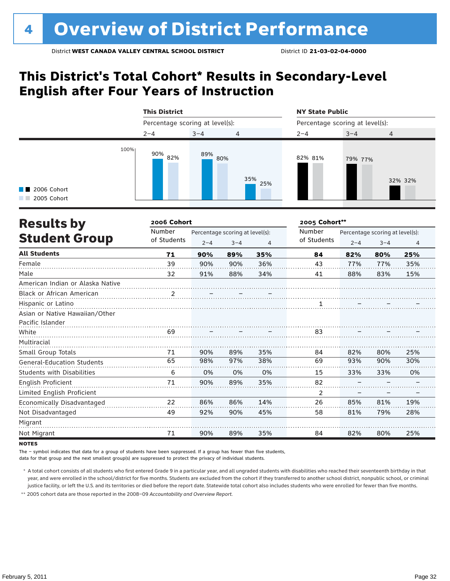# **This District's Total Cohort\* Results in Secondary-Level English after Four Years of Instruction**



| <b>Results by</b>                 | 2006 Cohort |                                 | 2005 Cohort** |     |             |                                 |         |                |  |
|-----------------------------------|-------------|---------------------------------|---------------|-----|-------------|---------------------------------|---------|----------------|--|
|                                   | Number      | Percentage scoring at level(s): |               |     | Number      | Percentage scoring at level(s): |         |                |  |
| <b>Student Group</b>              | of Students | $2 - 4$                         | $3 - 4$       | 4   | of Students | $2 - 4$                         | $3 - 4$ | $\overline{4}$ |  |
| <b>All Students</b>               | 71          | 90%                             | 89%           | 35% | 84          | 82%                             | 80%     | 25%            |  |
| Female                            | 39          | 90%                             | 90%           | 36% | 43          | 77%                             | 77%     | 35%            |  |
| Male                              | 32          | 91%                             | 88%           | 34% | 41          | 88%                             | 83%     | 15%            |  |
| American Indian or Alaska Native  |             |                                 |               |     |             |                                 |         |                |  |
| <b>Black or African American</b>  |             |                                 |               |     |             |                                 |         |                |  |
| Hispanic or Latino                |             |                                 |               |     |             |                                 |         |                |  |
| Asian or Native Hawaiian/Other    |             |                                 |               |     |             |                                 |         |                |  |
| Pacific Islander                  |             |                                 |               |     |             |                                 |         |                |  |
| White                             | 69          |                                 |               |     | 83          |                                 |         |                |  |
| Multiracial                       |             |                                 |               |     |             |                                 |         |                |  |
| Small Group Totals                | 71          | 90%                             | 89%           | 35% | 84          | 82%                             | 80%     | 25%            |  |
| <b>General-Education Students</b> | 65          | 98%                             | 97%           | 38% | 69          | 93%                             | 90%     | 30%            |  |
| <b>Students with Disabilities</b> | 6           | 0%                              | 0%            | 0%  | 15          | 33%                             | 33%     | 0%             |  |
| English Proficient                | 71          | 90%                             | 89%           | 35% | 82          |                                 |         |                |  |
| Limited English Proficient        |             |                                 |               |     | 2           |                                 |         |                |  |
| Economically Disadvantaged        | 22          | 86%                             | 86%           | 14% | 26          | 85%                             | 81%     | 19%            |  |
| Not Disadvantaged                 | 49          | 92%                             | 90%           | 45% | 58          | 81%                             | 79%     | 28%            |  |
| Migrant                           |             |                                 |               |     |             |                                 |         |                |  |
| Not Migrant                       | 71          | 90%                             | 89%           | 35% | 84          | 82%                             | 80%     | 25%            |  |

**NOTES** 

The – symbol indicates that data for a group of students have been suppressed. If a group has fewer than five students,

data for that group and the next smallest group(s) are suppressed to protect the privacy of individual students.

 \* A total cohort consists of all students who first entered Grade 9 in a particular year, and all ungraded students with disabilities who reached their seventeenth birthday in that year, and were enrolled in the school/district for five months. Students are excluded from the cohort if they transferred to another school district, nonpublic school, or criminal justice facility, or left the U.S. and its territories or died before the report date. Statewide total cohort also includes students who were enrolled for fewer than five months.

 \*\* 2005 cohort data are those reported in the 2008–09 *Accountability and Overview Report*.